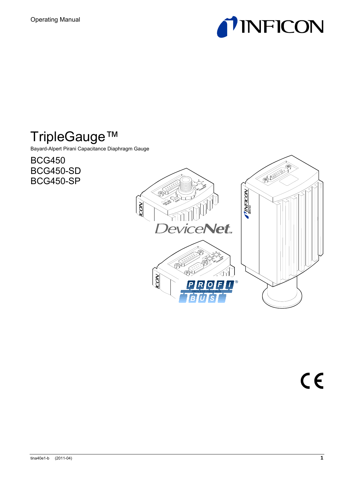

# TripleGauge™

Bayard-Alpert Pirani Capacitance Diaphragm Gauge

BCG450 BCG450-SD BCG450-SP

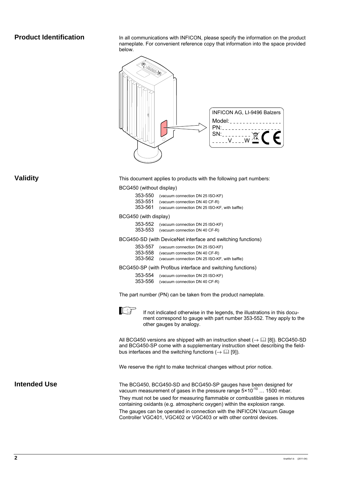#### **Product Identification**

In all communications with INFICON, please specify the information on the product nameplate. For convenient reference copy that information into the space provided below.



#### **Validity**

This document applies to products with the following part numbers:

BCG450 (without display)

| 353-550 | (vacuum connection DN 25 ISO-KF) |
|---------|----------------------------------|
| OEO EE4 |                                  |

353-551 (vacuum connection DN 40 CF-R) 353-561 (vacuum connection DN 25 ISO-KF, with baffle)

#### BCG450 (with display)

| 353-552 (vacuum connection DN 25 ISO-KF) |
|------------------------------------------|
| 353-553 (vacuum connection DN 40 CF-R)   |

BCG450-SD (with DeviceNet interface and switching functions)

| 353-557 (vacuum connection DN 25 ISO-KF)              |
|-------------------------------------------------------|
| 353-558 (vacuum connection DN 40 CF-R)                |
| 353-562 (vacuum connection DN 25 ISO-KF, with baffle) |

BCG450-SP (with Profibus interface and switching functions)

353-554 (vacuum connection DN 25 ISO-KF) 353-556 (vacuum connection DN 40 CF-R)

The part number (PN) can be taken from the product nameplate.



If not indicated otherwise in the legends, the illustrations in this document correspond to gauge with part number 353-552. They apply to the other gauges by analogy.

All BCG450 versions are shipped with an instruction sheet ( $\rightarrow$   $\boxplus$  [8]). BCG450-SD and BCG450-SP come with a supplementary instruction sheet describing the fieldbus interfaces and the switching functions  $(\rightarrow \Box \Box \Box)$ .

We reserve the right to make technical changes without prior notice.

#### **Intended Use**

The BCG450, BCG450-SD and BCG450-SP gauges have been designed for vacuum measurement of gases in the pressure range 5×10<sup>-10</sup> ... 1500 mbar. They must not be used for measuring flammable or combustible gases in mixtures containing oxidants (e.g. atmospheric oxygen) within the explosion range.

The gauges can be operated in connection with the INFICON Vacuum Gauge Controller VGC401, VGC402 or VGC403 or with other control devices.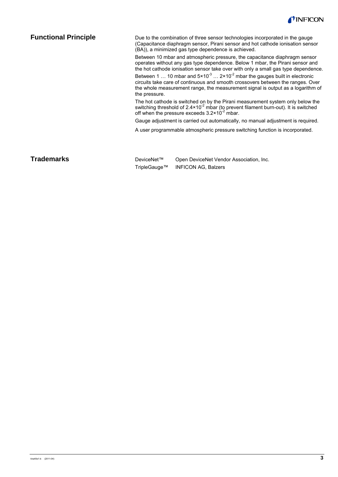

#### **Functional Principle**

Due to the combination of three sensor technologies incorporated in the gauge (Capacitance diaphragm sensor, Pirani sensor and hot cathode ionisation sensor (BA)), a minimized gas type dependence is achieved.

Between 10 mbar and atmospheric pressure, the capacitance diaphragm sensor operates without any gas type dependence. Below 1 mbar, the Pirani sensor and the hot cathode ionisation sensor take over with only a small gas type dependence.

Between 1 ... 10 mbar and  $5 \times 10^{-3}$  ... 2×10<sup>-2</sup> mbar the gauges built in electronic circuits take care of continuous and smooth crossovers between the ranges. Over the whole measurement range, the measurement signal is output as a logarithm of the pressure.

The hot cathode is switched on by the Pirani measurement system only below the switching threshold of  $2.4 \times 10^{-2}$  mbar (to prevent filament burn-out). It is switched off when the pressure exceeds  $3.2 \times 10^{-2}$  mbar.

Gauge adjustment is carried out automatically, no manual adjustment is required.

A user programmable atmospheric pressure switching function is incorporated.

#### **Trademarks**

DeviceNet™ Open DeviceNet Vendor Association, Inc. TripleGauge™ INFICON AG, Balzers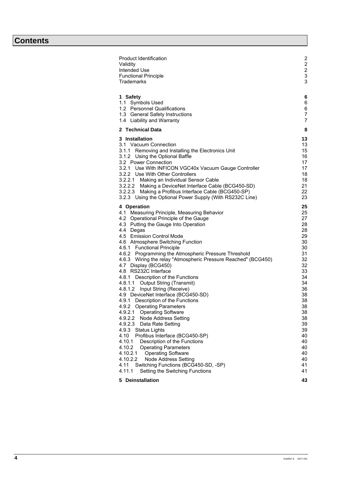# **Contents**

| <b>Product Identification</b><br>Validity                                     | $\overline{c}$ |
|-------------------------------------------------------------------------------|----------------|
| Intended Use                                                                  | $\frac{2}{3}$  |
| <b>Functional Principle</b>                                                   |                |
| <b>Trademarks</b>                                                             | 3              |
|                                                                               |                |
| 1 Safety                                                                      | 6              |
| 1.1 Symbols Used                                                              | 6              |
| 1.2 Personnel Qualifications                                                  | 6              |
| 1.3 General Safety Instructions                                               | 7              |
| 1.4 Liability and Warranty                                                    | 7              |
| 2 Technical Data                                                              | 8              |
| 3 Installation                                                                | 13             |
| 3.1 Vacuum Connection                                                         | 13             |
| 3.1.1 Removing and Installing the Electronics Unit                            | 15             |
| 3.1.2 Using the Optional Baffle                                               | 16             |
| 3.2 Power Connection                                                          | 17             |
| 3.2.1 Use With INFICON VGC40x Vacuum Gauge Controller                         | 17<br>18       |
| 3.2.2 Use With Other Controllers<br>3.2.2.1 Making an Individual Sensor Cable | 18             |
| 3.2.2.2 Making a DeviceNet Interface Cable (BCG450-SD)                        | 21             |
| 3.2.2.3 Making a Profibus Interface Cable (BCG450-SP)                         | 22             |
| 3.2.3 Using the Optional Power Supply (With RS232C Line)                      | 23             |
|                                                                               |                |
| 4 Operation                                                                   | 25             |
| 4.1 Measuring Principle, Measuring Behavior                                   | 25             |
| 4.2 Operational Principle of the Gauge                                        | 27             |
| 4.3 Putting the Gauge Into Operation                                          | 28             |
| 4.4 Degas<br>4.5 Emission Control Mode                                        | 28<br>29       |
| 4.6 Atmosphere Switching Function                                             | 30             |
| 4.6.1 Functional Principle                                                    | 30             |
| 4.6.2 Programming the Atmospheric Pressure Threshold                          | 31             |
| 4.6.3 Wiring the relay "Atmospheric Pressure Reached" (BCG450)                | 32             |
| 4.7 Display (BCG450)                                                          | 32             |
| 4.8 RS232C Interface                                                          | 33             |
| 4.8.1 Description of the Functions                                            | 34             |
| 4.8.1.1 Output String (Transmit)                                              | 34             |
| 4.8.1.2 Input String (Receive)                                                | 36             |
| 4.9 DeviceNet Interface (BCG450-SD)                                           | 38             |
| 4.9.1 Description of the Functions                                            | 38             |
| 4.9.2 Operating Parameters                                                    | 38             |
| <b>Operating Software</b><br>4.9.2.1                                          | 38             |
| 4.9.2.2<br>Node Address Setting                                               | 38<br>39       |
| 4.9.2.3<br>Data Rate Setting<br>4.9.3 Status Lights                           | 39             |
| 4.10<br>Profibus Interface (BCG450-SP)                                        | 40             |
| 4.10.1<br>Description of the Functions                                        | 40             |
| 4.10.2<br><b>Operating Parameters</b>                                         | 40             |
| 4.10.2.1<br><b>Operating Software</b>                                         | 40             |
| 4.10.2.2<br>Node Address Setting                                              | 40             |
| Switching Functions (BCG450-SD, -SP)<br>4.11                                  | 41             |
| 4.11.1<br>Setting the Switching Functions                                     | 41             |
| 5 Deinstallation                                                              | 43             |
|                                                                               |                |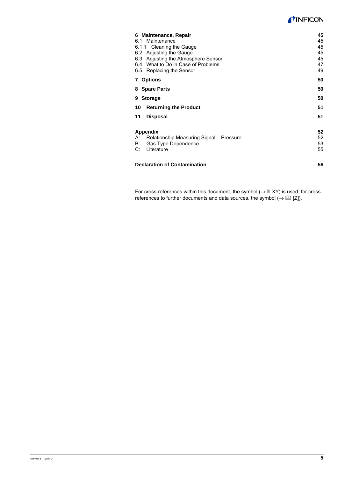#### **TINFICON**

| 6 Maintenance, Repair<br>6.1 Maintenance<br>6.1.1 Cleaning the Gauge<br>6.2 Adjusting the Gauge<br>6.3 Adjusting the Atmosphere Sensor<br>6.4 What to Do in Case of Problems | 45<br>45<br>45<br>45<br>45<br>47<br>49 |
|------------------------------------------------------------------------------------------------------------------------------------------------------------------------------|----------------------------------------|
| 6.5 Replacing the Sensor                                                                                                                                                     | 50                                     |
| 7 Options                                                                                                                                                                    |                                        |
| 8 Spare Parts                                                                                                                                                                | 50                                     |
| <b>Storage</b><br>9                                                                                                                                                          | 50                                     |
| <b>Returning the Product</b><br>10                                                                                                                                           | 51                                     |
| 11<br><b>Disposal</b>                                                                                                                                                        | 51                                     |
| Appendix<br>Relationship Measuring Signal – Pressure<br>А:                                                                                                                   | 52<br>52                               |
| Gas Type Dependence<br>B:<br>C:<br>Literature                                                                                                                                | 53<br>55                               |
|                                                                                                                                                                              |                                        |
| <b>Declaration of Contamination</b>                                                                                                                                          | 56                                     |

For cross-references within this document, the symbol  $(\rightarrow \mathbb{B} XY)$  is used, for crossreferences to further documents and data sources, the symbol  $(\rightarrow \Box \Box \Box)$ .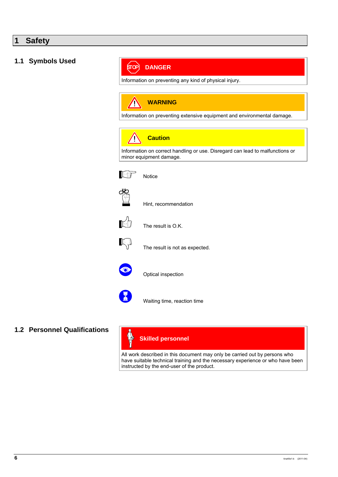### **1 Safety**

#### **1.1 Symbols Used**

#### (जावे **DANGER**

Information on preventing any kind of physical injury.

#### **WARNING AN**

Information on preventing extensive equipment and environmental damage.



Information on correct handling or use. Disregard can lead to malfunctions or minor equipment damage.





**HO**<br>(\il)<br>
Hint, recommendation



 $\mathbb{R}^2$  The result is O.K.



 $\mathbb{R}^3$  The result is not as expected.



Optical inspection



Waiting time, reaction time

**1.2 Personnel Qualifications** 

#### $\mathbb{A}$ **Skilled personnel**

All work described in this document may only be carried out by persons who have suitable technical training and the necessary experience or who have been instructed by the end-user of the product.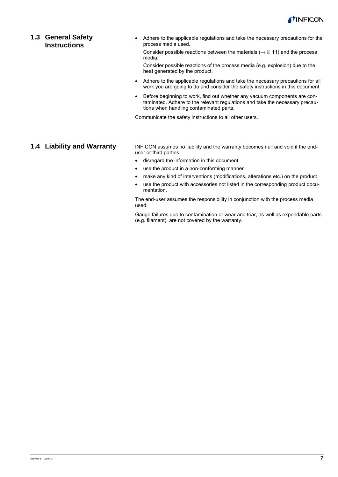

#### **1.3 General Safety Instructions**

• Adhere to the applicable regulations and take the necessary precautions for the process media used.

Consider possible reactions between the materials ( $\rightarrow \mathbb{B}$  11) and the process media.

Consider possible reactions of the process media (e.g. explosion) due to the heat generated by the product.

- Adhere to the applicable regulations and take the necessary precautions for all work you are going to do and consider the safety instructions in this document.
- Before beginning to work, find out whether any vacuum components are contaminated. Adhere to the relevant regulations and take the necessary precautions when handling contaminated parts.

Communicate the safety instructions to all other users.

#### **1.4 Liability and Warranty**

INFICON assumes no liability and the warranty becomes null and void if the enduser or third parties

- disregard the information in this document
- use the product in a non-conforming manner
- make any kind of interventions (modifications, alterations etc.) on the product
- use the product with accessories not listed in the corresponding product documentation.

The end-user assumes the responsibility in conjunction with the process media used.

Gauge failures due to contamination or wear and tear, as well as expendable parts (e.g. filament), are not covered by the warranty.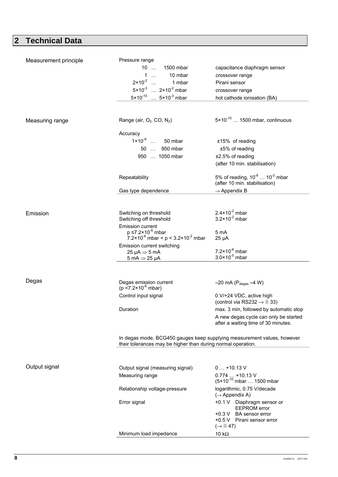# **2 Technical Data**

| Measurement principle | Pressure range                                                                                                                          |                                                         |
|-----------------------|-----------------------------------------------------------------------------------------------------------------------------------------|---------------------------------------------------------|
|                       | 10<br>1500 mbar                                                                                                                         | capacitance diaphragm sensor                            |
|                       | $1 \ldots$<br>10 mbar                                                                                                                   | crossover range                                         |
|                       | $2 \times 10^{-2}$ 1 mbar                                                                                                               | Pirani sensor                                           |
|                       | $5 \times 10^{-3}$ $2 \times 10^{-2}$ mbar                                                                                              | crossover range                                         |
|                       | $5 \times 10^{-10}$ $5 \times 10^{-3}$ mbar                                                                                             | hot cathode ionisation (BA)                             |
|                       |                                                                                                                                         |                                                         |
|                       |                                                                                                                                         |                                                         |
| Measuring range       | Range (air, $O_2$ , CO, $N_2$ )                                                                                                         | $5 \times 10^{-10}$ 1500 mbar, continuous               |
|                       |                                                                                                                                         |                                                         |
|                       | Accuracy                                                                                                                                |                                                         |
|                       | $1 \times 10^{-8}$ 50 mbar                                                                                                              | ±15% of reading                                         |
|                       | 50  950 mbar                                                                                                                            | ±5% of reading                                          |
|                       | 950  1050 mbar                                                                                                                          | ±2.5% of reading                                        |
|                       |                                                                                                                                         | (after 10 min. stabilisation)                           |
|                       | Repeatability                                                                                                                           | 5% of reading, $10^{-8}$ $10^{-2}$ mbar                 |
|                       |                                                                                                                                         | (after 10 min. stabilisation)                           |
|                       | Gas type dependence                                                                                                                     | $\rightarrow$ Appendix B                                |
|                       |                                                                                                                                         |                                                         |
|                       |                                                                                                                                         |                                                         |
| Emission              | Switching on threshold                                                                                                                  | $2.4 \times 10^{-2}$ mbar                               |
|                       | Switching off threshold                                                                                                                 | $3.2 \times 10^{-2}$ mbar                               |
|                       | Emission current                                                                                                                        |                                                         |
|                       | $p \le 7.2 \times 10^{-6}$ mbar<br>7.2×10 <sup>-6</sup> mbar < $p < 3.2 \times 10^{-2}$ mbar                                            | 5 mA<br>$25 \mu A$                                      |
|                       | Emission current switching                                                                                                              |                                                         |
|                       |                                                                                                                                         |                                                         |
|                       |                                                                                                                                         | $7.2 \times 10^{-6}$ mbar                               |
|                       | 25 µA $\Rightarrow$ 5 mA<br>5 mA $\Rightarrow$ 25 µA                                                                                    | $3.0 \times 10^{-5}$ mbar                               |
|                       |                                                                                                                                         |                                                         |
|                       |                                                                                                                                         |                                                         |
| Degas                 |                                                                                                                                         | ≈20 mA ( $P_{degas}$ ≈4 W)                              |
|                       | Degas emission current<br>( $p < 7.2 \times 10^{-6}$ mbar)                                                                              |                                                         |
|                       | Control input signal                                                                                                                    | 0 V/+24 VDC, active high                                |
|                       |                                                                                                                                         | (control via RS232 $\rightarrow \mathbb{B}$ 33)         |
|                       | Duration                                                                                                                                | max. 3 min, followed by automatic stop                  |
|                       |                                                                                                                                         | A new degas cycle can only be started                   |
|                       |                                                                                                                                         | after a waiting time of 30 minutes.                     |
|                       |                                                                                                                                         |                                                         |
|                       | In degas mode, BCG450 gauges keep supplying measurement values, however<br>their tolerances may be higher than during normal operation. |                                                         |
|                       |                                                                                                                                         |                                                         |
|                       |                                                                                                                                         |                                                         |
| Output signal         | Output signal (measuring signal)                                                                                                        | $0+10.13$ V                                             |
|                       | Measuring range                                                                                                                         |                                                         |
|                       |                                                                                                                                         | 0.774  +10.13 V<br>(5×10 <sup>-10</sup> mbar  1500 mbar |
|                       | Relationship voltage-pressure                                                                                                           | logarithmic, 0.75 V/decade                              |
|                       |                                                                                                                                         | $(\rightarrow$ Appendix A)                              |
|                       | Error signal                                                                                                                            | +0.1 V Diaphragm sensor or                              |
|                       |                                                                                                                                         | <b>EEPROM</b> error<br>+0.3 V BA sensor error           |
|                       |                                                                                                                                         | +0.5 V Pirani sensor error                              |
|                       | Minimum load impedance                                                                                                                  | $(\rightarrow \mathbb{B} 47)$<br>10 $k\Omega$           |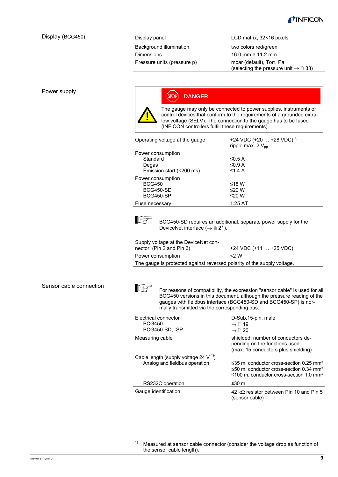

#### Display (BCG450)

Display panel Background illumination Dimensions Pressure units (pressure p) LCD matrix, 32×16 pixels

two colors red/green 16.0 mm × 11.2 mm mbar (default), Torr, Pa (selecting the pressure unit  $\rightarrow \mathbb{B}$  33)

#### Power supply



#### STOP **DANGER**

The gauge may only be connected to power supplies, instruments or control devices that conform to the requirements of a grounded extralow voltage (SELV). The connection to the gauge has to be fused (INFICON controllers fulfill these requirements).

| Operating voltage at the gauge | +24 VDC (+20 $\dots$ +28 VDC) <sup>1)</sup><br>ripple max. $2V_{\text{op}}$ |
|--------------------------------|-----------------------------------------------------------------------------|
| Power consumption              |                                                                             |
| Standard                       | ≤0.5 A                                                                      |
| Degas                          | ≤0.9 A                                                                      |
| Emission start (<200 ms)       | $\leq$ 1.4 A                                                                |
| Power consumption              |                                                                             |
| <b>BCG450</b>                  | ≤18 W                                                                       |
| <b>BCG450-SD</b>               | ≤20 W                                                                       |
| <b>BCG450-SP</b>               | ≤20 W                                                                       |
| Fuse necessary                 | 1.25 AT                                                                     |



 BCG450-SD requires an additional, separate power supply for the DeviceNet interface ( $\rightarrow \mathbb{B}$  21).

| Supply voltage at the DeviceNet con- |         |
|--------------------------------------|---------|
| nector, (Pin 2 and Pin 3)            | +24 VD  |
| Power consumption                    | $<$ 2 W |

0 (+11 ... +25 VDC)

The gauge is protected against reversed polarity of the supply voltage.

Sensor cable connection



-

For reasons of compatibility, the expression "sensor cable" is used for all BCG450 versions in this document, although the pressure reading of the gauges with fieldbus interface (BCG450-SD and BCG450-SP) is normally transmitted via the corresponding bus.

| Electrical connector<br><b>BCG450</b><br>BCG450-SD, -SP                      | D-Sub, 15-pin, male<br>$\rightarrow \mathbb{B}$ 19<br>$\rightarrow \mathbb{R}$ 20                                                                                       |
|------------------------------------------------------------------------------|-------------------------------------------------------------------------------------------------------------------------------------------------------------------------|
| Measuring cable                                                              | shielded, number of conductors de-<br>pending on the functions used<br>(max. 15 conductors plus shielding)                                                              |
| Cable length (supply voltage 24 V $^{1)}$ )<br>Analog and fieldbus operation | ≤35 m, conductor cross-section 0.25 mm <sup>2</sup><br>$\leq$ 50 m, conductor cross-section 0.34 mm <sup>2</sup><br>≤100 m. conductor cross-section 1.0 mm <sup>2</sup> |
| RS232C operation                                                             | ≤30 m                                                                                                                                                                   |
| Gauge identification                                                         | 42 k $\Omega$ resistor between Pin 10 and Pin 5<br>sensor cable)                                                                                                        |

 $1)$  Measured at sensor cable connector (consider the voltage drop as function of the sensor cable length).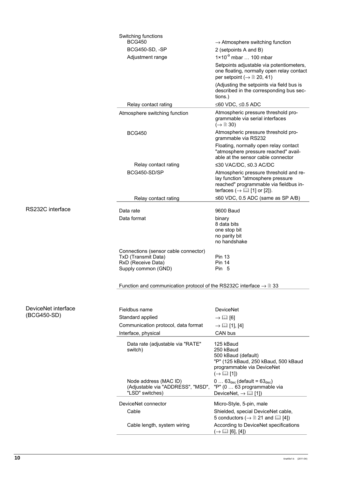|                                    | Switching functions<br><b>BCG450</b><br>BCG450-SD, -SP<br>Adjustment range                               | $\rightarrow$ Atmosphere switching function<br>2 (setpoints A and B)<br>$1 \times 10^{-9}$ mbar  100 mbar<br>Setpoints adjustable via potentiometers,<br>one floating, normally open relay contact<br>per setpoint ( $\rightarrow \mathbb{B}$ 20, 41)<br>(Adjusting the setpoints via field bus is<br>described in the corresponding bus sec-<br>tions.) |
|------------------------------------|----------------------------------------------------------------------------------------------------------|----------------------------------------------------------------------------------------------------------------------------------------------------------------------------------------------------------------------------------------------------------------------------------------------------------------------------------------------------------|
|                                    | Relay contact rating                                                                                     | ≤60 VDC, ≤0.5 ADC<br>Atmospheric pressure threshold pro-                                                                                                                                                                                                                                                                                                 |
|                                    | Atmosphere switching function                                                                            | grammable via serial interfaces<br>$(\rightarrow \Box$ 30)                                                                                                                                                                                                                                                                                               |
|                                    | <b>BCG450</b>                                                                                            | Atmospheric pressure threshold pro-<br>grammable via RS232                                                                                                                                                                                                                                                                                               |
|                                    |                                                                                                          | Floating, normally open relay contact<br>"atmosphere pressure reached" avail-<br>able at the sensor cable connector                                                                                                                                                                                                                                      |
|                                    | Relay contact rating                                                                                     | ≤30 VAC/DC, ≤0.3 AC/DC                                                                                                                                                                                                                                                                                                                                   |
|                                    | BCG450-SD/SP                                                                                             | Atmospheric pressure threshold and re-<br>lay function "atmosphere pressure<br>reached" programmable via fieldbus in-<br>terfaces ( $\rightarrow$ [1] or [2]).                                                                                                                                                                                           |
|                                    | Relay contact rating                                                                                     | ≤60 VDC, 0.5 ADC (same as SP A/B)                                                                                                                                                                                                                                                                                                                        |
| RS232C interface                   | Data rate                                                                                                | 9600 Baud                                                                                                                                                                                                                                                                                                                                                |
|                                    | Data format                                                                                              | binary<br>8 data bits<br>one stop bit<br>no parity bit<br>no handshake                                                                                                                                                                                                                                                                                   |
|                                    | Connections (sensor cable connector)<br>TxD (Transmit Data)<br>RxD (Receive Data)<br>Supply common (GND) | <b>Pin 13</b><br><b>Pin 14</b><br>Pin 5                                                                                                                                                                                                                                                                                                                  |
|                                    | Function and communication protocol of the RS232C interface $\rightarrow \mathbb{B}$ 33                  |                                                                                                                                                                                                                                                                                                                                                          |
|                                    |                                                                                                          |                                                                                                                                                                                                                                                                                                                                                          |
| DeviceNet interface<br>(BCG450-SD) | Fieldbus name                                                                                            | <b>DeviceNet</b>                                                                                                                                                                                                                                                                                                                                         |
|                                    | Standard applied<br>Communication protocol, data format                                                  | $\rightarrow$ [12 [6]<br>$\rightarrow \Box$ [1], [4]                                                                                                                                                                                                                                                                                                     |
|                                    | Interface, physical                                                                                      | CAN bus                                                                                                                                                                                                                                                                                                                                                  |
|                                    | Data rate (adjustable via "RATE"<br>switch)                                                              | 125 kBaud<br>250 kBaud<br>500 kBaud (default)<br>"P" (125 kBaud, 250 kBaud, 500 kBaud<br>programmable via DeviceNet<br>$(\rightarrow \Box$ [1])                                                                                                                                                                                                          |
|                                    | Node address (MAC ID)<br>(Adjustable via "ADDRESS", "MSD",<br>"LSD" switches)                            | $0 63_{\text{dec}}$ (default = $63_{\text{dec}}$ )<br>"P" (0  63 programmable via<br>DeviceNet, $\rightarrow$ [1] [1])                                                                                                                                                                                                                                   |
|                                    | DeviceNet connector                                                                                      | Micro-Style, 5-pin, male                                                                                                                                                                                                                                                                                                                                 |
|                                    | Cable                                                                                                    | Shielded, special DeviceNet cable,<br>5 conductors ( $\rightarrow \mathbb{B}$ 21 and $\mathbb{E}$ [4])                                                                                                                                                                                                                                                   |
|                                    | Cable length, system wiring                                                                              | According to DeviceNet specifications<br>$(\rightarrow \Box \Box$ [6], [4])                                                                                                                                                                                                                                                                              |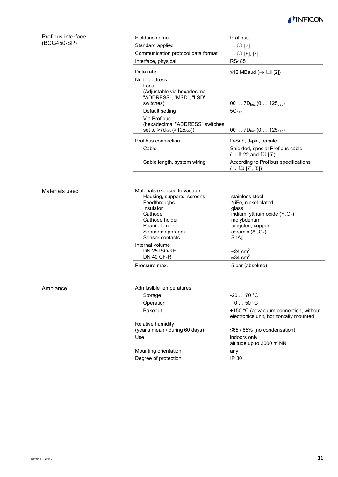

| Profibus interface<br>(BCG450-SP) | Fieldbus name                                                                                | <b>Profibus</b>              |
|-----------------------------------|----------------------------------------------------------------------------------------------|------------------------------|
|                                   | Standard applied                                                                             | $\rightarrow \mathbb{H}$ [7] |
|                                   | Communication protocol data format                                                           | $\rightarrow \Box$ [9], [7]  |
|                                   | Interface, physical                                                                          | <b>RS485</b>                 |
|                                   | Data rate                                                                                    | ≤12 MBaud (                  |
|                                   | Node address<br>Local<br>(Adjustable via hexadecimal<br>"ADDRESS", "MSD", "LSD"<br>switches) | 00 $7D_{hex}$ (0             |
|                                   | Default setting                                                                              | $5C_{hex}$                   |
|                                   |                                                                                              |                              |

 $\overline{a}$ 

 $\overline{a}$ 

| Data rate<br>Node address<br>Local<br>(Adjustable via hexadecimal<br>"ADDRESS", "MSD", "LSD" | ≤12 MBaud ( $\rightarrow$ [⊥] [2])                                               |
|----------------------------------------------------------------------------------------------|----------------------------------------------------------------------------------|
| switches)<br>Default setting                                                                 | 00 $7D_{hex}$ (0 $125_{dec}$ )<br>$5C_{hex}$                                     |
| Via Profibus<br>(hexadecimal "ADDRESS" switches<br>set to $>7d_{hex}$ ( $>125_{dec}$ ))      | 00 $7D_{hex}$ (0 $125_{dec}$ )                                                   |
| Profibus connection                                                                          | D-Sub, 9-pin, female                                                             |
| Cable                                                                                        | Shielded, special Profibus cable<br>$(\rightarrow \Box$ 22 and $\Box$ [5])       |
| Cable length, system wiring                                                                  | According to Profibus specifications<br>$(\rightarrow \Box \Box$ [7], [5])       |
|                                                                                              |                                                                                  |
| Materials exposed to vacuum<br>Housing, supports, screens                                    | stainless steel                                                                  |
| Feedthroughs<br>Insulator                                                                    | NiFe, nickel plated<br>glass                                                     |
| Cathode                                                                                      | iridium, yttrium oxide $(Y_2O_3)$                                                |
| Cathode holder<br>Pirani element                                                             | molybdenum<br>tungsten, copper                                                   |
| Sensor diaphragm                                                                             | ceramic (Al <sub>2</sub> O <sub>3</sub> )                                        |
| Sensor contacts                                                                              | SnAg                                                                             |
| Internal volume<br><b>DN 25 ISO-KF</b>                                                       | $\approx$ 24 cm <sup>3</sup>                                                     |
| <b>DN 40 CF-R</b>                                                                            | $\approx$ 34 cm <sup>3</sup>                                                     |
| Pressure max.                                                                                | 5 bar (absolute)                                                                 |
|                                                                                              |                                                                                  |
| Admissible temperatures                                                                      |                                                                                  |
| Storage                                                                                      | $-2070$ °C                                                                       |
| Operation                                                                                    | 050 °C                                                                           |
| <b>Bakeout</b>                                                                               | +150 °C (at vacuum connection, without<br>electronics unit, horizontally mounted |
| Relative humidity                                                                            |                                                                                  |
| (year's mean / during 60 days)<br>Use                                                        | ≤65 / 85% (no condensation)<br>indoors only                                      |
|                                                                                              | altitude up to 2000 m NN                                                         |
| Mounting orientation                                                                         | any                                                                              |
| Degree of protection                                                                         | IP 30                                                                            |

Materials used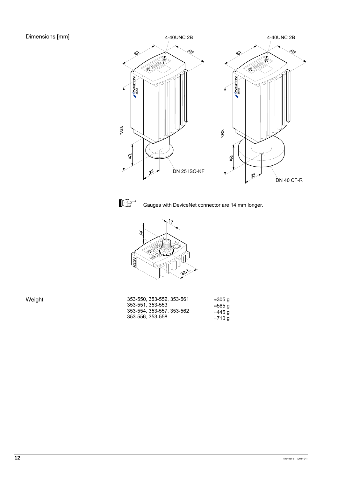



Gauges with DeviceNet connector are 14 mm longer.



| Weight | 353-550, 353-552, 353-561 | ≈305 g |
|--------|---------------------------|--------|
|        | 353-551.353-553           | ≈565 q |
|        | 353-554, 353-557, 353-562 | ≈445 g |
|        | 353-556, 353-558          | ≈710 q |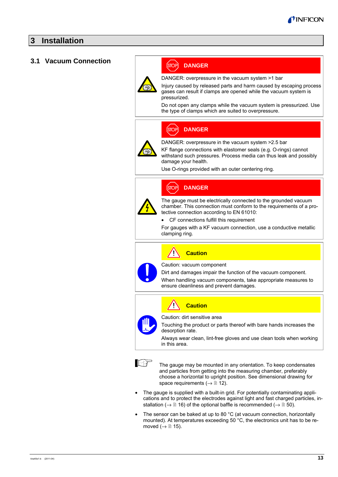### **3 Installation**

#### **3.1 Vacuum Connection**



#### (STOP) **DANGER**

DANGER: overpressure in the vacuum system >1 bar

Injury caused by released parts and harm caused by escaping process gases can result if clamps are opened while the vacuum system is pressurized.

Do not open any clamps while the vacuum system is pressurized. Use the type of clamps which are suited to overpressure.

#### **STOP DANGER**



DANGER: overpressure in the vacuum system >2.5 bar

KF flange connections with elastomer seals (e.g. O-rings) cannot withstand such pressures. Process media can thus leak and possibly damage your health.

Use O-rings provided with an outer centering ring.

#### **STOP DANGER**



The gauge must be electrically connected to the grounded vacuum chamber. This connection must conform to the requirements of a protective connection according to EN 61010:

CF connections fulfill this requirement

For gauges with a KF vacuum connection, use a conductive metallic clamping ring.



Caution: vacuum component

Dirt and damages impair the function of the vacuum component.

When handling vacuum components, take appropriate measures to ensure cleanliness and prevent damages.



Caution: dirt sensitive area

Touching the product or parts thereof with bare hands increases the desorption rate.

Always wear clean, lint-free gloves and use clean tools when working in this area.



The gauge may be mounted in any orientation. To keep condensates and particles from getting into the measuring chamber, preferably choose a horizontal to upright position. See dimensional drawing for space requirements ( $\rightarrow \mathbb{B}$  12).

- The gauge is supplied with a built-in grid. For potentially contaminating applications and to protect the electrodes against light and fast charged particles, installation ( $\rightarrow \mathbb{B}$  16) of the optional baffle is recommended ( $\rightarrow \mathbb{B}$  50).
- The sensor can be baked at up to 80 °C (at vacuum connection, horizontally mounted). At temperatures exceeding 50 °C, the electronics unit has to be removed  $(\rightarrow \Box$  15).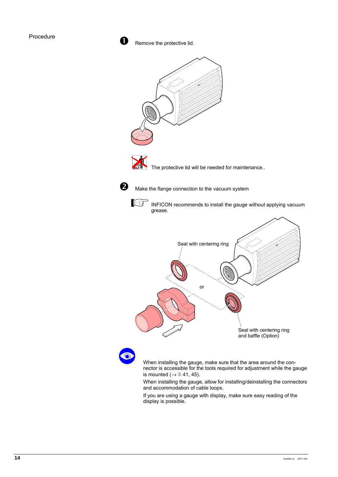$\blacksquare$  Remove the protective lid.



 When installing the gauge, make sure that the area around the connector is accessible for the tools required for adjustment while the gauge is mounted  $(\rightarrow \mathbb{B} 41, 45)$ .

When installing the gauge, allow for installing/deinstalling the connectors and accommodation of cable loops.

If you are using a gauge with display, make sure easy reading of the display is possible.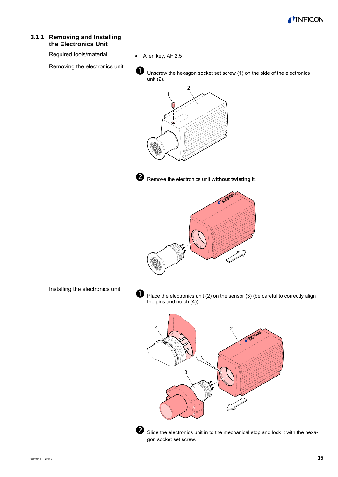

#### **3.1.1 Removing and Installing the Electronics Unit**

Required tools/material

Removing the electronics unit

• Allen key, AF 2.5

 $\bullet$  Unscrew the hexagon socket set screw (1) on the side of the electronics unit (2).





**O** Remove the electronics unit **without twisting** it.



Installing the electronics unit

 $\bullet$  Place the electronics unit (2) on the sensor (3) (be careful to correctly align the pins and notch (4)).



 $\bullet$  Slide the electronics unit in to the mechanical stop and lock it with the hexagon socket set screw.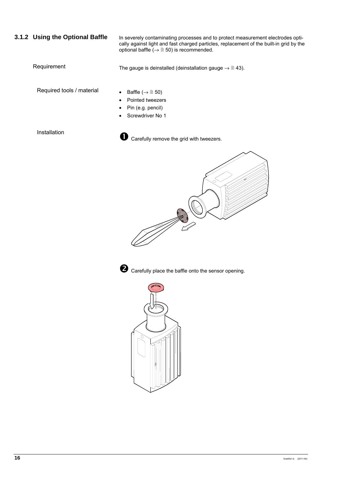#### **3.1.2 Using the Optional Baffle**

In severely contaminating processes and to protect measurement electrodes optically against light and fast charged particles, replacement of the built-in grid by the optional baffle  $(\rightarrow \Box 50)$  is recommended.

#### Requirement

The gauge is deinstalled (deinstallation gauge  $\rightarrow \mathbb{B}$  43).

Required tools / material

- Baffle  $(\rightarrow \Box$  50)
- Pointed tweezers
- Pin (e.g. pencil)
- Screwdriver No 1

Installation



**th** Carefully remove the grid with tweezers.





 $\bullet$  Carefully place the baffle onto the sensor opening.

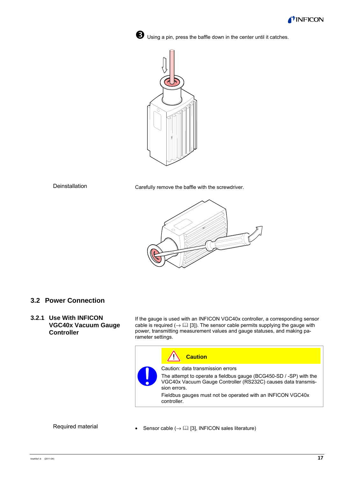

**D** Using a pin, press the baffle down in the center until it catches.



#### Deinstallation

Carefully remove the baffle with the screwdriver.



#### **3.2 Power Connection**

**3.2.1 Use With INFICON VGC40x Vacuum Gauge Controller** 

If the gauge is used with an INFICON VGC40x controller, a corresponding sensor cable is required ( $\rightarrow \Box$  [3]). The sensor cable permits supplying the gauge with power, transmitting measurement values and gauge statuses, and making parameter settings.



#### Required material

Sensor cable  $(\rightarrow \Box \Box)$  [3], INFICON sales literature)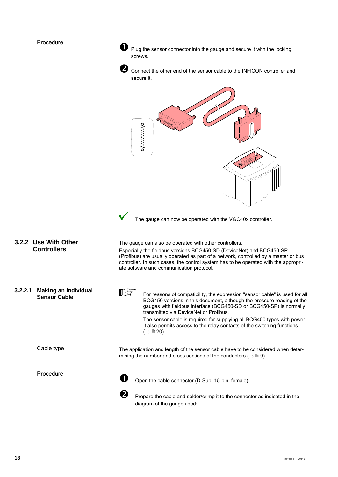#### Procedure

**1** Plug the sensor connector into the gauge and secure it with the locking screws.



Connect the other end of the sensor cable to the INFICON controller and secure it.

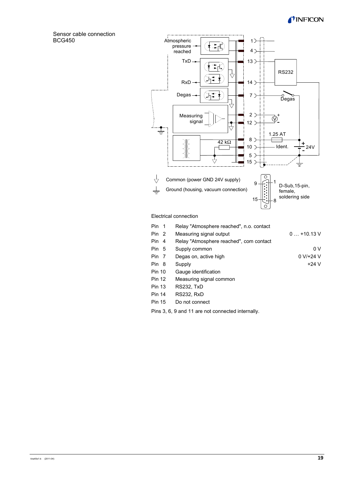#### INFICON

Sensor cable connection BCG450



#### Electrical connection

| Pin 1         | Relay "Atmosphere reached", n.o. contact |             |
|---------------|------------------------------------------|-------------|
| Pin 2         | Measuring signal output                  | $0+10.13$ V |
| Pin 4         | Relay "Atmosphere reached", com contact  |             |
| Pin 5         | Supply common                            | 0 V         |
| Pin 7         | Degas on, active high                    | $0 V/+24 V$ |
| Pin 8         | Supply                                   | $+24V$      |
| <b>Pin 10</b> | Gauge identification                     |             |
| <b>Pin 12</b> | Measuring signal common                  |             |
| <b>Pin 13</b> | RS232, TxD                               |             |
| <b>Pin 14</b> | <b>RS232, RxD</b>                        |             |
| <b>Pin 15</b> | Do not connect                           |             |
|               |                                          |             |

Pins 3, 6, 9 and 11 are not connected internally.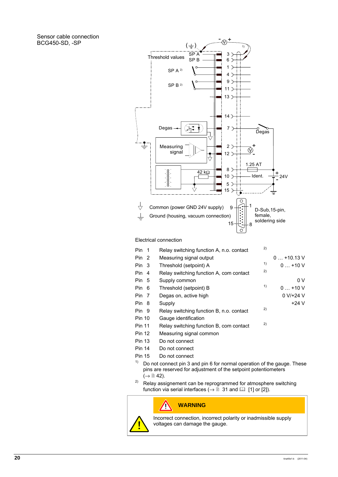Sensor cable connection BCG450-SD, -SP



Electrical connection

| Pin 1            |    | Relay switching function A, n.o. contact | 2) |             |
|------------------|----|------------------------------------------|----|-------------|
|                  |    |                                          |    |             |
| Pin <sub>2</sub> |    | Measuring signal output                  |    | $0+10.13$ V |
| Pin 3            |    | Threshold (setpoint) A                   | 1) | $0+10V$     |
| Pin 4            |    | Relay switching function A, com contact  | 2) |             |
| Pin 5            |    | Supply common                            |    | 0 V         |
| Pin 6            |    | Threshold (setpoint) B                   | 1) | $0+10V$     |
| Pin              | -7 | Degas on, active high                    |    | $0 V/+24 V$ |
| Pin 8            |    | Supply                                   |    | $+24V$      |
| Pin 9            |    | Relay switching function B, n.o. contact | 2) |             |
| <b>Pin 10</b>    |    | Gauge identification                     |    |             |
| <b>Pin 11</b>    |    | Relay switching function B, com contact  | 2) |             |
| <b>Pin 12</b>    |    | Measuring signal common                  |    |             |
| <b>Pin 13</b>    |    | Do not connect                           |    |             |
| <b>Pin 14</b>    |    | Do not connect                           |    |             |
| <b>Pin 15</b>    |    | Do not connect                           |    |             |

- <sup>1)</sup> Do not connect pin 3 and pin 6 for normal operation of the gauge. These pins are reserved for adjustment of the setpoint potentiometers  $\mapsto$   $\cong$  42).
- <sup>2)</sup> Relay assignement can be reprogrammed for atmosphere switching function via serial interfaces ( $\rightarrow \mathbb{B}$  31 and  $\mathbb{H}$  [1] or [2]).

#### **WARNING**

 $\sqrt{2}$ 



Incorrect connection, incorrect polarity or inadmissible supply voltages can damage the gauge.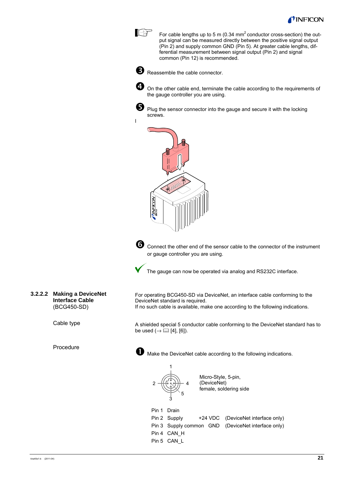

For cable lengths up to 5 m (0.34  $mm<sup>2</sup>$  conductor cross-section) the output signal can be measured directly between the positive signal output (Pin 2) and supply common GND (Pin 5). At greater cable lengths, differential measurement between signal output (Pin 2) and signal common (Pin 12) is recommended.



**I**B

**B** Reassemble the cable connector.



**4** On the other cable end, terminate the cable according to the requirements of the gauge controller you are using.



l

Plug the sensor connector into the gauge and secure it with the locking screws.





Connect the other end of the sensor cable to the connector of the instrument or gauge controller you are using.

The gauge can now be operated via analog and RS232C interface.

**3.2.2.2 Making a DeviceNet Interface Cable**  (BCG450-SD)

Cable type

Procedure

For operating BCG450-SD via DeviceNet, an interface cable conforming to the DeviceNet standard is required. If no such cable is available, make one according to the following indications.

A shielded special 5 conductor cable conforming to the DeviceNet standard has to be used  $(\rightarrow \Box$  [4], [6]).



n Make the DeviceNet cable according to the following indications.



1

Micro-Style, 5-pin, (DeviceNet) female, soldering side

 Pin 1 Drain Pin 2 Supply  $+24$  VDC (DeviceNet interface only) Pin 3 Supply common GND (DeviceNet interface only) Pin 4 CAN H Pin 5 CAN\_L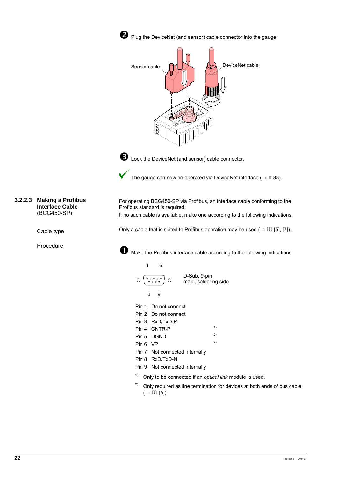

**O** Plug the DeviceNet (and sensor) cable connector into the gauge.





**D** Lock the DeviceNet (and sensor) cable connector.

The gauge can now be operated via DeviceNet interface ( $\rightarrow \mathbb{B}$  38).

For operating BCG450-SP via Profibus, an interface cable conforming to the Profibus standard is required.

If no such cable is available, make one according to the following indications.

Only a cable that is suited to Profibus operation may be used  $(\rightarrow \Box \Box$  [5], [7]).



**th** Make the Profibus interface cable according to the following indications:



Pin 1 Do not connect

| Pin 2 Do not connect |
|----------------------|
|                      |

Pin 3 RxD/TxD-P

|          | Pin 4 CNTR-P | 1) |
|----------|--------------|----|
|          | Pin 5 DGND   | 2) |
| Pin 6 VP |              | 2) |
|          | .<br>_ _ _ _ |    |

- Pin 7 Not connected internally
- Pin 8 RxD/TxD-N
- Pin 9 Not connected internally
- 1) Only to be connected if an *optical link* module is used.
- <sup>2)</sup> Only required as line termination for devices at both ends of bus cable  $(\rightarrow \Box$  [5]).

**3.2.2.3 Making a Profibus Interface Cable**  (BCG450-SP)

Cable type

Procedure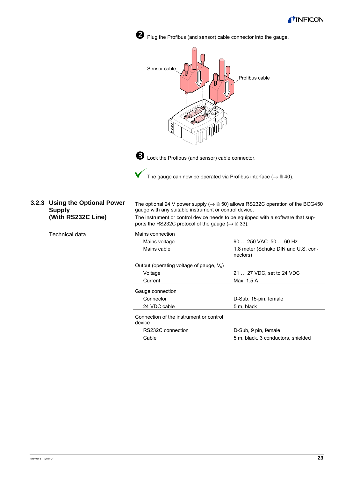



tina40e1-b (2011-04) **23**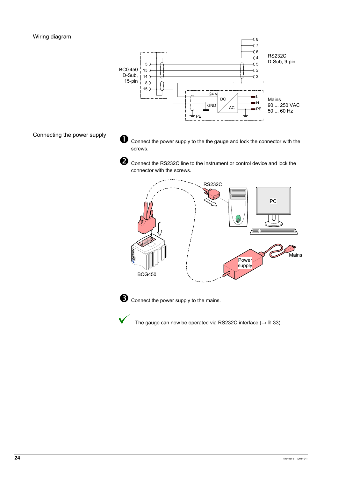

Connecting the power supply

 $\bullet$  Connect the power supply to the the gauge and lock the connector with the screws.



**2** Connect the RS232C line to the instrument or control device and lock the connector with the screws.





**D** Connect the power supply to the mains.



The gauge can now be operated via RS232C interface ( $\rightarrow \mathbb{B}$  33).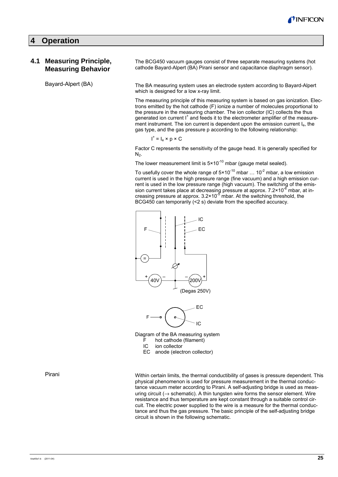

#### **4 Operation**

#### **4.1 Measuring Principle, Measuring Behavior**

Bayard-Alpert (BA)

The BCG450 vacuum gauges consist of three separate measuring systems (hot cathode Bayard-Alpert (BA) Pirani sensor and capacitance diaphragm sensor).

The BA measuring system uses an electrode system according to Bayard-Alpert which is designed for a low x-ray limit.

The measuring principle of this measuring system is based on gas ionization. Electrons emitted by the hot cathode (F) ionize a number of molecules proportional to the pressure in the measuring chamber. The ion collector (IC) collects the thus generated ion current I<sup>+</sup> and feeds it to the electrometer amplifier of the measurement instrument. The ion current is dependent upon the emission current Ie, the gas type, and the gas pressure p according to the following relationship:

$$
I^* = I_e \times p \times C
$$

Factor C represents the sensitivity of the gauge head. It is generally specified for  $N<sub>2</sub>$ .

The lower measurement limit is  $5 \times 10^{-10}$  mbar (gauge metal sealed).

To usefully cover the whole range of  $5 \times 10^{-10}$  mbar ...  $10^{-2}$  mbar, a low emission current is used in the high pressure range (fine vacuum) and a high emission current is used in the low pressure range (high vacuum). The switching of the emission current takes place at decreasing pressure at approx. 7.2×10<sup>-6</sup> mbar, at increasing pressure at approx.  $3.2 \times 10^{-5}$  mbar. At the switching threshold, the BCG450 can temporarily (<2 s) deviate from the specified accuracy.





Diagram of the BA measuring system

- hot cathode (filament)
- IC ion collector

EC anode (electron collector)

Within certain limits, the thermal conductibility of gases is pressure dependent. This physical phenomenon is used for pressure measurement in the thermal conductance vacuum meter according to Pirani. A self-adjusting bridge is used as measuring circuit ( $\rightarrow$  schematic). A thin tungsten wire forms the sensor element. Wire resistance and thus temperature are kept constant through a suitable control circuit. The electric power supplied to the wire is a measure for the thermal conductance and thus the gas pressure. The basic principle of the self-adjusting bridge circuit is shown in the following schematic.

Pirani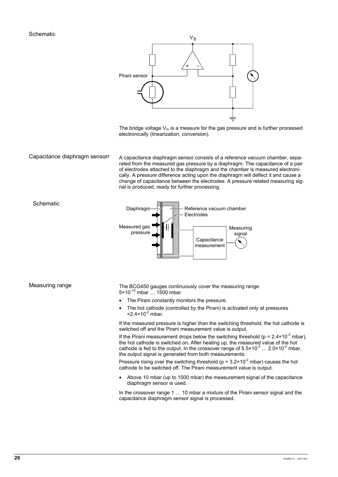

The bridge voltage  $V_m$  is a measure for the gas pressure and is further processed electronically (linearization, conversion).

Capacitance diaphragm sensorr

A capacitance diaphragm sensor consists of a reference vacuum chamber, separated from the measured gas pressure by a diaphragm. The capacitance of a pair of electrodes attached to the diaphragm and the chamber is measured electronically. A pressure difference acting upon the diaphragm will deflect it and cause a change of capacitance between the electrodes. A pressure related measuring signal is produced, ready for further processing.



Measuring range

**Schematic** 

The BCG450 gauges continuously cover the measuring range  $5 \times 10^{-10}$  mbar ... 1500 mbar.

- The Pirani constantly monitors the pressure.
- The hot cathode (controlled by the Pirani) is activated only at pressures  $<$ 2.4 $\times$ 10<sup>-2</sup> mbar.

If the measured pressure is higher than the switching threshold, the hot cathode is switched off and the Pirani measurement value is output.

If the Pirani measurement drops below the switching threshold ( $p = 2.4 \times 10^{-2}$  mbar), the hot cathode is switched on. After heating up, the measured value of the hot cathode is fed to the output. In the crossover range of  $5.5 \times 10^{-3}$  ...  $2.0 \times 10^{-2}$  mbar, the output signal is generated from both measurements.

Pressure rising over the switching threshold ( $p = 3.2 \times 10^{-2}$  mbar) causes the hot cathode to be switched off. The Pirani measurement value is output.

• Above 10 mbar (up to 1500 mbar) the measurement signal of the capacitance diaphragm sensor is used.

In the crossover range 1 ... 10 mbar a mixture of the Pirani sensor signal and the capacitance diaphragm sensor signal is processed.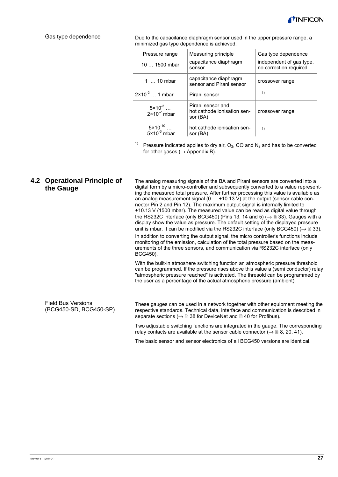

#### Gas type dependence

Due to the capacitance diaphragm sensor used in the upper pressure range, a minimized gas type dependence is achieved.

| Pressure range                                 | Measuring principle                                          | Gas type dependence                                |
|------------------------------------------------|--------------------------------------------------------------|----------------------------------------------------|
| $101500$ mbar                                  | capacitance diaphragm<br>sensor                              | independent of gas type.<br>no correction required |
| 1  10 mbar                                     | capacitance diaphragm<br>sensor and Pirani sensor            | crossover range                                    |
| $2 \times 10^{-2}$ 1 mbar                      | Pirani sensor                                                | 1)                                                 |
| $5 \times 10^{-3}$<br>2×10 <sup>-2</sup> mbar  | Pirani sensor and<br>hot cathode ionisation sen-<br>sor (BA) | crossover range                                    |
| $5 \times 10^{-10}$<br>$5 \times 10^{-3}$ mbar | hot cathode ionisation sen-<br>sor (BA)                      | 1)                                                 |

<sup>1)</sup> Pressure indicated applies to dry air,  $O_2$ , CO and  $N_2$  and has to be converted for other gases ( $\rightarrow$  Appendix B).

#### **4.2 Operational Principle of the Gauge**

The analog measuring signals of the BA and Pirani sensors are converted into a digital form by a micro-controller and subsequently converted to a value representing the measured total pressure. After further processing this value is available as an analog measurement signal (0 … +10.13 V) at the output (sensor cable connector Pin 2 and Pin 12). The maximum output signal is internally limited to +10.13 V (1500 mbar). The measured value can be read as digital value through the RS232C interface (only BCG450) (Pins 13, 14 and 5) ( $\rightarrow \mathbb{B}$  33). Gauges with a display show the value as pressure. The default setting of the displayed pressure unit is mbar. It can be modified via the RS232C interface (only BCG450) ( $\rightarrow \mathbb{B}$  33).

In addition to converting the output signal, the micro controller's functions include monitoring of the emission, calculation of the total pressure based on the measurements of the three sensors, and communication via RS232C interface (only BCG450).

With the built-in atmoshere switching function an atmospheric pressure threshold can be programmed. If the pressure rises above this value a (semi conductor) relay "atmospheric pressure reached" is activated. The thresold can be programmed by the user as a percentage of the actual atmospheric pressure (ambient).

| <b>Field Bus Versions</b><br>(BCG450-SD, BCG450-SP) | These gauges can be used in a network together with other equipment meeting the<br>respective standards. Technical data, interface and communication is described in<br>separate sections ( $\rightarrow \Box$ 38 for DeviceNet and $\Box$ 40 for Profibus). |
|-----------------------------------------------------|--------------------------------------------------------------------------------------------------------------------------------------------------------------------------------------------------------------------------------------------------------------|
|                                                     | Two adjustable switching functions are integrated in the gauge. The corresponding                                                                                                                                                                            |

table switching functions are integrated in tne ga relay contacts are available at the sensor cable connector ( $\rightarrow \mathbb{B}$  8, 20, 41).

The basic sensor and sensor electronics of all BCG450 versions are identical.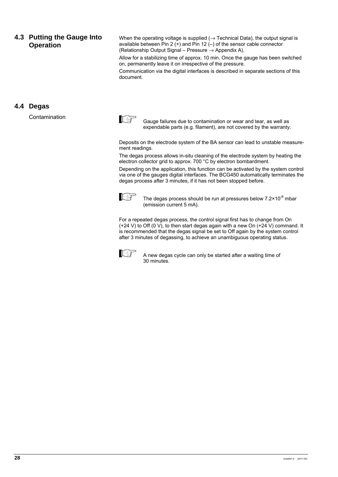#### **4.3 Putting the Gauge Into Operation**

When the operating voltage is supplied  $(\rightarrow$  Technical Data), the output signal is available between Pin 2  $(+)$  and Pin 12  $(-)$  of the sensor cable connector (Relationship Output Signal – Pressure  $\rightarrow$  Appendix A).

Allow for a stabilizing time of approx. 10 min. Once the gauge has been switched on, permanently leave it on irrespective of the pressure.

Communication via the digital interfaces is described in separate sections of this document.

#### **4.4 Degas**

Contamination



Gauge failures due to contamination or wear and tear, as well as expendable parts (e.g. filament), are not covered by the warranty.

Deposits on the electrode system of the BA sensor can lead to unstable measurement readings.

The degas process allows in-situ cleaning of the electrode system by heating the electron collector grid to approx. 700 °C by electron bombardment.

Depending on the application, this function can be activated by the system control via one of the gauges digital interfaces. The BCG450 automatically terminates the degas process after 3 minutes, if it has not been stopped before.



The degas process should be run at pressures below  $7.2 \times 10^{-6}$  mbar (emission current 5 mA).

For a repeated degas process, the control signal first has to change from On (+24 V) to Off (0 V), to then start degas again with a new On (+24 V) command. It is recommended that the degas signal be set to Off again by the system control after 3 minutes of degassing, to achieve an unambiguous operating status.



A new degas cycle can only be started after a waiting time of 30 minutes.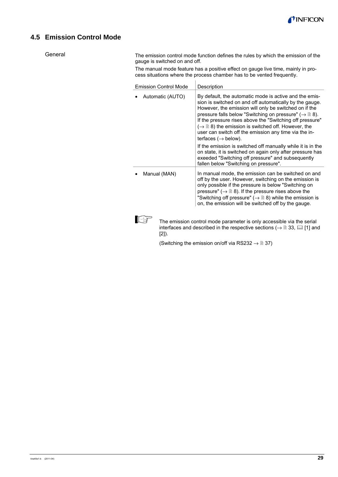

### **4.5 Emission Control Mode**

**General** 

The emission control mode function defines the rules by which the emission of the gauge is switched on and off.

The manual mode feature has a positive effect on gauge live time, mainly in process situations where the process chamber has to be vented frequently.

| <b>Emission Control Mode</b>                                                                                                                                                                                           | Description                                                                                                                                                                                                                                                                                                                                                                                                                                                                             |  |  |
|------------------------------------------------------------------------------------------------------------------------------------------------------------------------------------------------------------------------|-----------------------------------------------------------------------------------------------------------------------------------------------------------------------------------------------------------------------------------------------------------------------------------------------------------------------------------------------------------------------------------------------------------------------------------------------------------------------------------------|--|--|
| Automatic (AUTO)                                                                                                                                                                                                       | By default, the automatic mode is active and the emis-<br>sion is switched on and off automatically by the gauge.<br>However, the emission will only be switched on if the<br>pressure falls below "Switching on pressure" ( $\rightarrow \mathbb{B}$ 8).<br>If the pressure rises above the "Switching off pressure"<br>$(\rightarrow \Box$ 8) the emission is switched off. However, the<br>user can switch off the emission any time via the in-<br>terfaces ( $\rightarrow$ below). |  |  |
| If the emission is switched off manually while it is in the<br>on state, it is switched on again only after pressure has<br>exeeded "Switching off pressure" and subsequently<br>fallen below "Switching on pressure". |                                                                                                                                                                                                                                                                                                                                                                                                                                                                                         |  |  |
| Manual (MAN)                                                                                                                                                                                                           | In manual mode, the emission can be switched on and<br>off by the user. However, switching on the emission is<br>only possible if the pressure is below "Switching on<br>pressure" ( $\rightarrow \mathbb{B}$ 8). If the pressure rises above the<br>"Switching off pressure" ( $\rightarrow \mathbb{B}$ 8) while the emission is<br>on, the emission will be switched off by the gauge.                                                                                                |  |  |
| The emission control mode parameter is only accessible via the serial<br>interfaces and described in the respective sections ( $\rightarrow \mathbb{B}$ 33, $\mathbb{E}$ [1] and<br>[2]).                              |                                                                                                                                                                                                                                                                                                                                                                                                                                                                                         |  |  |

(Switching the emission on/off via RS232  $\rightarrow \mathbb{B}$  37)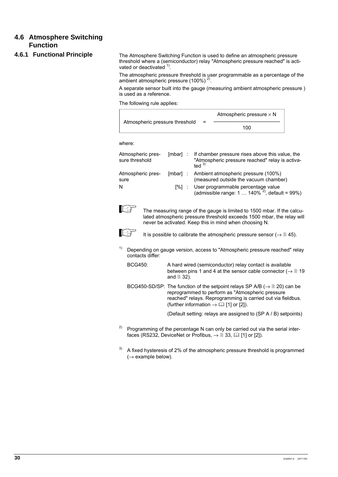### **4.6 Atmosphere Switching Function**

#### **4.6.1 Functional Principle**

The Atmosphere Switching Function is used to define an atmospheric pressure threshold where a (semiconductor) relay "Atmospheric pressure reached" is activated or deactivated  $1$ .

The atmospheric pressure threshold is user programmable as a percentage of the ambient atmospheric pressure (100%)<sup>2)</sup>.

A separate sensor built into the gauge (measuring ambient atmospheric pressure ) is used as a reference.

The following rule applies:

| Atmospheric pressure threshold |  | Atmospheric pressure $\times$ N |  |  |
|--------------------------------|--|---------------------------------|--|--|
|                                |  | 100                             |  |  |
|                                |  |                                 |  |  |

where:

| Atmospheric pres-<br>sure threshold | [mbar] : | If chamber pressure rises above this value, the<br>"Atmospheric pressure reached" relay is activa-<br>ted $3)$ |
|-------------------------------------|----------|----------------------------------------------------------------------------------------------------------------|
| Atmospheric pres-<br>sure           |          | [mbar] : Ambient atmospheric pressure (100%)<br>(measured outside the vacuum chamber)                          |
| N                                   | [%] :    | User programmable percentage value<br>(admissible range: 1 $140\%^{2}$ ), default = 99%)                       |



 The measuring range of the gauge is limited to 1500 mbar. If the calculated atmospheric pressure threshold exceeds 1500 mbar, the relay will never be activated. Keep this in mind when choosing N.



If  $\overline{f}$  It is possible to calibrate the atmospheric pressure sensor ( $\rightarrow \mathbb{R}$  45).

- $1)$  Depending on gauge version, access to "Atmospheric pressure reached" relay contacts differ:
	- BCG450: A hard wired (semiconductor) relay contact is available between pins 1 and 4 at the sensor cable connector ( $\rightarrow \mathbb{B}$  19 and  $\cong$  32).
	- BCG450-SD/SP: The function of the setpoint relays SP A/B ( $\rightarrow \mathbb{B}$  20) can be reprogrammed to perform as "Atmospheric pressure reached" relays. Reprogramming is carried out via fieldbus. (further information  $\rightarrow \Box$  [1] or [2]).

(Default setting: relays are assigned to (SP A / B) setpoints)

- <sup>2)</sup> Programming of the percentage N can only be carried out via the serial interfaces (RS232, DeviceNet or Profibus,  $\rightarrow \mathbb{R}$  33,  $\Box$  [1] or [2]).
- $3)$  A fixed hysteresis of 2% of the atmospheric pressure threshold is programmed  $(\rightarrow$  example below).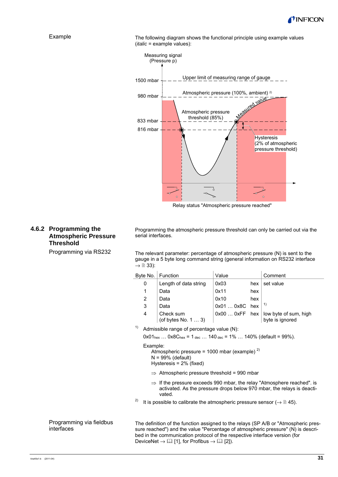



The following diagram shows the functional principle using example values (*italic* = example values):



Relay status "Atmospheric pressure reached"

### **4.6.2 Programming the Atmospheric Pressure Threshold**

Programming via RS232

Programming the atmospheric pressure threshold can only be carried out via the serial interfaces.

The relevant parameter: percentage of atmospheric pressure (N) is sent to the gauge in a 5 byte long command string (general information on RS232 interface  $\rightarrow \Box$  33):

| Byte No.       | Function                          | Value          |     | Comment                                  |
|----------------|-----------------------------------|----------------|-----|------------------------------------------|
| 0              | Length of data string             | 0x03           | hex | set value                                |
|                | Data                              | 0x11           | hex |                                          |
| $\overline{2}$ | Data                              | 0x10           | hex |                                          |
| 3              | Data                              | 0x01  0x8C hex |     | 1)                                       |
| 4              | Check sum<br>(of bytes No. $13$ ) | $0x000xFF$ hex |     | low byte of sum, high<br>byte is ignored |

<sup>1)</sup> Admissible range of percentage value  $(N)$ :

 $0x01_{hex}$  ...  $0x8C_{hex} = 1_{dec}$  ...  $140_{dec} = 1\%$  ...  $140\%$  (default = 99%).

#### Example:

Atmospheric pressure = 1000 mbar (example)  $^{2)}$  $N = 99%$  (default) Hysteresis = 2% (fixed)

- $\Rightarrow$  Atmospheric pressure threshold = 990 mbar
- ⇒ If the pressure exceeds 990 mbar, the relay "Atmosphere reached". is activated. As the pressure drops below 970 mbar, the relays is deactivated.
- <sup>2)</sup> It is possible to calibrate the atmospheric pressure sensor ( $\rightarrow \mathbb{B}$  45).

Programming via fieldbus interfaces

The definition of the function assigned to the relays (SP A/B or "Atmospheric pressure reached") and the value "Percentage of atmospheric pressure" (N) is described in the communication protocol of the respective interface version (for DeviceNet  $\rightarrow \Box$  [1], for Profibus  $\rightarrow \Box$  [2]).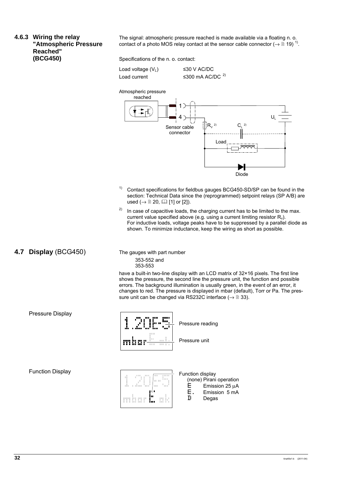**4.6.3 Wiring the relay "Atmospheric Pressure Reached" (BCG450)** 

The signal: atmospheric pressure reached is made available via a floating n. o. contact of a photo MOS relay contact at the sensor cable connector ( $\rightarrow \mathbb{E}$  19)<sup>1)</sup>.

Specifications of the n. o. contact:

Load voltage  $(V_L)$   $\leq$  30 V AC/DC

Load current  $\leq 300$  mA AC/DC <sup>2)</sup>



- <sup>1)</sup> Contact specifications for fieldbus gauges BCG450-SD/SP can be found in the section: Technical Data since the (reprogrammed) setpoint relays (SP A/B) are used  $(\rightarrow \Box 20, \Box \Box 11$  or [2]).
- <sup>2)</sup> In case of capacitive loads, the charging current has to be limited to the max. current value specified above (e.g. using a current limiting resistor  $R_v$ ). For inductive loads, voltage peaks have to be suppressed by a parallel diode as shown. To minimize inductance, keep the wiring as short as possible.
- **4.7 Display** (BCG450)

The gauges with part number 353-552 and 353-553

have a built-in two-line display with an LCD matrix of 32×16 pixels. The first line shows the pressure, the second line the pressure unit, the function and possible errors. The background illumination is usually green, in the event of an error, it changes to red. The pressure is displayed in mbar (default), Torr or Pa. The pressure unit can be changed via RS232C interface ( $\rightarrow \mathbb{B}$  33).



Pressure unit

#### Function Display

Pressure Display



Function display (none) Pirani operation

- $E$  Emission 25 μA<br> $E$ . Emission 5 mA
- E. Emission 5 mA<br> **II** Degas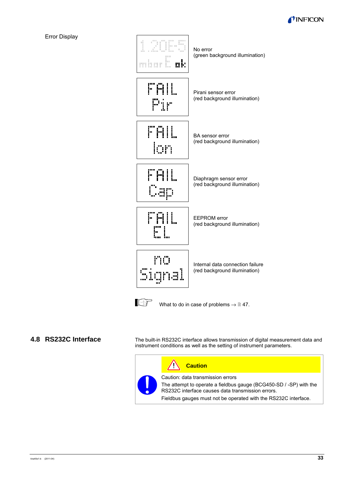



#### **4.8 RS232C Interface**

The built-in RS232C interface allows transmission of digital measurement data and instrument conditions as well as the setting of instrument parameters.

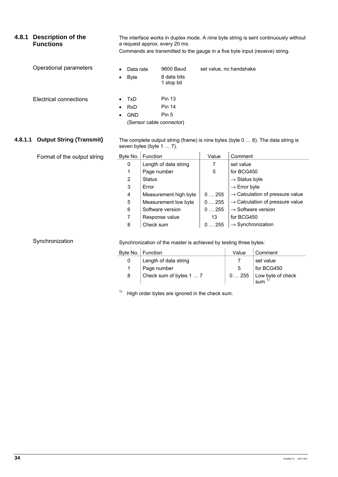| 4.8.1   | <b>Description of the</b><br><b>Functions</b> | The interface works in duplex mode. A nine byte string is sent continuously without<br>a request approx. every 20 ms.<br>Commands are transmitted to the gauge in a five byte input (receive) string. |                                                                                                              |                         |                                |                                             |
|---------|-----------------------------------------------|-------------------------------------------------------------------------------------------------------------------------------------------------------------------------------------------------------|--------------------------------------------------------------------------------------------------------------|-------------------------|--------------------------------|---------------------------------------------|
|         |                                               |                                                                                                                                                                                                       |                                                                                                              |                         |                                |                                             |
|         | Operational parameters                        | Data rate                                                                                                                                                                                             | 9600 Baud                                                                                                    | set value, no handshake |                                |                                             |
|         |                                               | <b>Byte</b>                                                                                                                                                                                           | 8 data bits<br>1 stop bit                                                                                    |                         |                                |                                             |
|         | Electrical connections                        | <b>TxD</b>                                                                                                                                                                                            | <b>Pin 13</b>                                                                                                |                         |                                |                                             |
|         |                                               | <b>RxD</b>                                                                                                                                                                                            | <b>Pin 14</b>                                                                                                |                         |                                |                                             |
|         |                                               | <b>GND</b>                                                                                                                                                                                            | Pin <sub>5</sub>                                                                                             |                         |                                |                                             |
|         |                                               |                                                                                                                                                                                                       | (Sensor cable connector)                                                                                     |                         |                                |                                             |
|         |                                               |                                                                                                                                                                                                       |                                                                                                              |                         |                                |                                             |
| 4.8.1.1 | <b>Output String (Transmit)</b>               |                                                                                                                                                                                                       | The complete output string (frame) is nine bytes (byte 0  8). The data string is<br>seven bytes (byte 1  7). |                         |                                |                                             |
|         | Format of the output string                   | Byte No.                                                                                                                                                                                              | Function                                                                                                     | Value                   | Comment                        |                                             |
|         |                                               | 0                                                                                                                                                                                                     | Length of data string                                                                                        | 7                       | set value                      |                                             |
|         |                                               | 1                                                                                                                                                                                                     | Page number                                                                                                  | 5                       | for BCG450                     |                                             |
|         |                                               | 2                                                                                                                                                                                                     | <b>Status</b>                                                                                                |                         | $\rightarrow$ Status byte      |                                             |
|         |                                               | 3                                                                                                                                                                                                     | Error                                                                                                        |                         | $\rightarrow$ Error byte       |                                             |
|         |                                               | 4                                                                                                                                                                                                     | Measurement high byte                                                                                        | 0255                    |                                | $\rightarrow$ Calculation of pressure value |
|         |                                               | 5                                                                                                                                                                                                     | Measurement low byte                                                                                         | 0255                    |                                | $\rightarrow$ Calculation of pressure value |
|         |                                               | 6                                                                                                                                                                                                     | Software version                                                                                             | 0255                    | $\rightarrow$ Software version |                                             |
|         |                                               | 7                                                                                                                                                                                                     | Response value                                                                                               | 13                      | for BCG450                     |                                             |
|         |                                               | 8                                                                                                                                                                                                     | Check sum                                                                                                    | 0255                    | $\rightarrow$ Synchronization  |                                             |
|         | Synchronization                               |                                                                                                                                                                                                       | Synchronization of the master is achieved by testing three bytes:                                            |                         |                                |                                             |
|         |                                               | Byte No.                                                                                                                                                                                              | Function                                                                                                     |                         | Value                          | Comment                                     |
|         |                                               | 0                                                                                                                                                                                                     | Length of data string                                                                                        |                         | $\overline{7}$                 | set value                                   |
|         |                                               | 1                                                                                                                                                                                                     | Page number                                                                                                  |                         | 5                              | for BCG450                                  |

 $1)$  High order bytes are ignored in the check sum.

8 Check sum of bytes 1 ... 7 | 0 ... 255 Low byte of check

sum $1$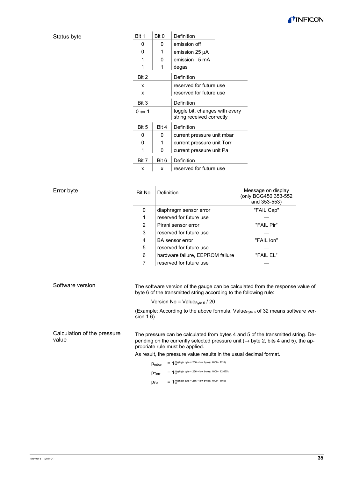#### TINFICON

| Bit 1                 | Bit 0 | Definition                                                  |
|-----------------------|-------|-------------------------------------------------------------|
| 0                     | 0     | emission off                                                |
| 0                     | 1     | emission 25 µA                                              |
| 1                     | 0     | emission 5 mA                                               |
| 1                     | 1     | degas                                                       |
| Bit 2                 |       | Definition                                                  |
| x                     |       | reserved for future use                                     |
| x                     |       | reserved for future use                                     |
| Bit 3                 |       | Definition                                                  |
| $0 \Leftrightarrow 1$ |       | toggle bit, changes with every<br>string received correctly |
| Bit 5                 | Bit 4 | Definition                                                  |
| 0                     | 0     | current pressure unit mbar                                  |
| 0                     | 1     | current pressure unit Torr                                  |
| 1                     | 0     | current pressure unit Pa                                    |
| Bit 7                 | Bit 6 | Definition                                                  |
| x                     | x     | reserved for future use                                     |

| Error byte                           | Bit No.      | Definition                                                                                                                                                                                                                                                                                       | Message on display<br>(only BCG450 353-552<br>and 353-553) |  |
|--------------------------------------|--------------|--------------------------------------------------------------------------------------------------------------------------------------------------------------------------------------------------------------------------------------------------------------------------------------------------|------------------------------------------------------------|--|
|                                      | $\Omega$     | diaphragm sensor error                                                                                                                                                                                                                                                                           | "FAIL Cap"                                                 |  |
|                                      | 1            | reserved for future use                                                                                                                                                                                                                                                                          |                                                            |  |
|                                      | 2            | Pirani sensor error                                                                                                                                                                                                                                                                              | "FAIL Pir"                                                 |  |
|                                      | 3            | reserved for future use                                                                                                                                                                                                                                                                          |                                                            |  |
|                                      | 4            | <b>BA</b> sensor error                                                                                                                                                                                                                                                                           | "FAIL Ion"                                                 |  |
|                                      | 5            | reserved for future use                                                                                                                                                                                                                                                                          |                                                            |  |
|                                      | 6            | hardware failure, EEPROM failure                                                                                                                                                                                                                                                                 | "FAIL EL"                                                  |  |
|                                      | 7            | reserved for future use                                                                                                                                                                                                                                                                          |                                                            |  |
| Software version                     | sion $1.6$ ) | The software version of the gauge can be calculated from the response value of<br>byte 6 of the transmitted string according to the following rule:<br>Version No = Value $_{\text{Byte 6}}$ / 20<br>(Example: According to the above formula, Value <sub>Byte 6</sub> of 32 means software ver- |                                                            |  |
| Calculation of the pressure<br>value |              | The pressure can be calculated from bytes 4 and 5 of the transmitted string. De-<br>pending on the currently selected pressure unit ( $\rightarrow$ byte 2, bits 4 and 5), the ap-<br>propriate rule must be applied.                                                                            |                                                            |  |
|                                      |              | As result, the pressure value results in the usual decimal format.                                                                                                                                                                                                                               |                                                            |  |
|                                      |              | = 10 <sup>((high byte × 256 + low byte)</sup> / 4000 - 12.5)<br>Pmbar                                                                                                                                                                                                                            |                                                            |  |
|                                      |              | = 10((high byte × 256 + low byte) / 4000 - 12.625)<br>$p_{Torr}$                                                                                                                                                                                                                                 |                                                            |  |
|                                      |              | = $10^{( (high byte × 256 + low byte) / 4000 - 10.5)}$<br>$p_{Pa}$                                                                                                                                                                                                                               |                                                            |  |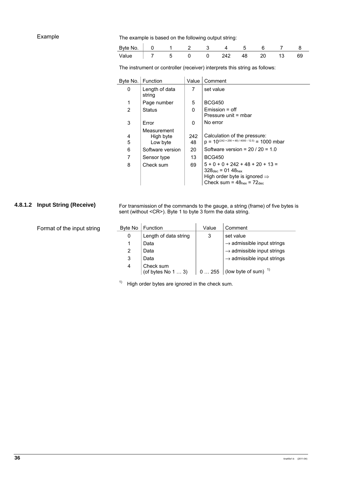#### Example

The example is based on the following output string:

| Byte No. |  |  |  |  |  |
|----------|--|--|--|--|--|
| Value    |  |  |  |  |  |

The instrument or controller (receiver) interprets this string as follows:

| Byte No. | Function                             | Value     | Comment                                                                                                                                                         |
|----------|--------------------------------------|-----------|-----------------------------------------------------------------------------------------------------------------------------------------------------------------|
| 0        | Length of data<br>string             | 7         | set value                                                                                                                                                       |
| 1        | Page number                          | 5         | <b>BCG450</b>                                                                                                                                                   |
| 2        | <b>Status</b>                        | $\Omega$  | $Emission = off$                                                                                                                                                |
|          |                                      |           | Pressure unit = mbar                                                                                                                                            |
| 3        | Error                                | 0         | No error                                                                                                                                                        |
| 4<br>5   | Measurement<br>High byte<br>Low byte | 242<br>48 | Calculation of the pressure:<br>$p = 10^{((242 \times 256 + 48)/4000 - 12.5)} = 1000$ mbar                                                                      |
| 6        | Software version                     | 20        | Software version = $20/20 = 1.0$                                                                                                                                |
| 7        | Sensor type                          | 13        | <b>BCG450</b>                                                                                                                                                   |
| 8        | Check sum                            | 69        | $5 + 0 + 0 + 242 + 48 + 20 + 13 =$<br>$328_{\text{dec}} = 0148_{\text{hex}}$<br>High order byte is ignored $\Rightarrow$<br>Check sum = $48_{hex}$ = $72_{dec}$ |

#### **4.8.1.2 Input String (Receive)**

For transmission of the commands to the gauge, a string (frame) of five bytes is sent (without <CR>). Byte 1 to byte 3 form the data string.

| Format of the input string | Byte No | Function                                 | Value | Comment                                |
|----------------------------|---------|------------------------------------------|-------|----------------------------------------|
|                            | 0       | Length of data string                    |       | set value                              |
|                            |         | Data                                     |       | $\rightarrow$ admissible input strings |
|                            | 2       | Data                                     |       | $\rightarrow$ admissible input strings |
|                            | 3       | Data                                     |       | $\rightarrow$ admissible input strings |
|                            | 4       | Check sum<br>(of bytes No $1 \ldots 3$ ) | 0255  | (low byte of sum) $1$                  |

 $1)$  High order bytes are ignored in the check sum.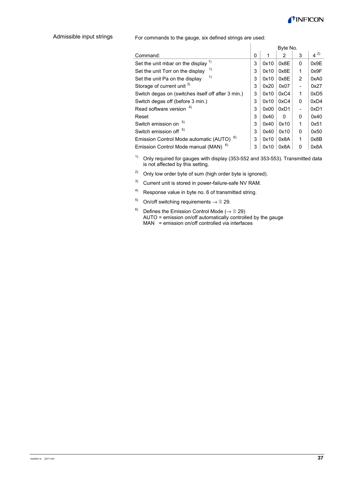

Admissible input strings

For commands to the gauge, six defined strings are used:

|                                                      |   |      | Byte No. |                |         |
|------------------------------------------------------|---|------|----------|----------------|---------|
| Command:                                             | 0 | 1    | 2        | 3              | $4^{2}$ |
| 1)<br>Set the unit mbar on the display               | 3 | 0x10 | 0x8E     | 0              | 0x9E    |
| 1)<br>Set the unit Torr on the display               | 3 | 0x10 | 0x8E     | 1              | 0x9F    |
| 1)<br>Set the unit Pa on the display                 | 3 | 0x10 | 0x8E     | $\overline{2}$ | 0xA0    |
| Storage of current unit 3)                           | 3 | 0x20 | 0x07     |                | 0x27    |
| Switch degas on (switches itself off after 3 min.)   | 3 | 0x10 | 0xC4     | 1              | 0xD5    |
| Switch degas off (before 3 min.)                     | 3 | 0x10 | 0xC4     | 0              | 0xD4    |
| Read software version 4)                             | 3 | 0x00 | 0xD1     |                | 0xD1    |
| Reset                                                | 3 | 0x40 | O        | $\Omega$       | 0x40    |
| 5)<br>Switch emission on                             | 3 | 0x40 | 0x10     | 1              | 0x51    |
| Switch emission off <sup>5)</sup>                    | 3 | 0x40 | 0x10     | 0              | 0x50    |
| Emission Control Mode automatic (AUTO) <sup>6)</sup> | 3 | 0x10 | 0x8A     | 1              | 0x8B    |
| Emission Control Mode manual (MAN) <sup>6)</sup>     | 3 | 0x10 | 0x8A     | 0              | 0x8A    |

<sup>1)</sup> Only required for gauges with display (353-552 and 353-553). Transmitted data is not affected by this setting.

- <sup>2)</sup> Only low order byte of sum (high order byte is ignored).
- <sup>3)</sup> Current unit is stored in power-failure-safe NV RAM.
- 4) Response value in byte no. 6 of transmitted string.
- 5) On/off switching requirements  $\rightarrow \mathbb{B}$  29.
- <sup>6)</sup> Defines the Emission Control Mode ( $\rightarrow \mathbb{B}$  29) AUTO = emission on/off automatically controlled by the gauge  $MAN = emission on/off controlled via interfaces$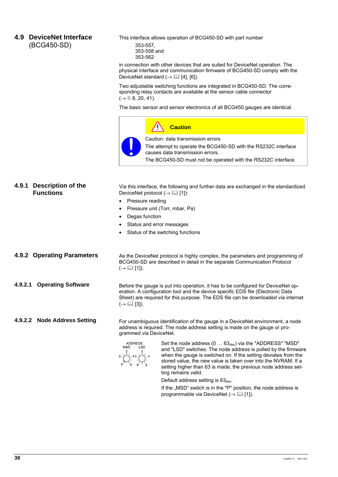#### **4.9 DeviceNet Interface**  (BCG450-SD)

This interface allows operation of BCG450-SD with part number 353-557, 353-558 and

353-562

in connection with other devices that are suited for DeviceNet operation. The physical interface and communication firmware of BCG450-SD comply with the DeviceNet standard  $(\rightarrow \Box$  [4], [6]).

Two adjustable switching functions are integrated in BCG450-SD. The corresponding relay contacts are available at the sensor cable connector  $( \rightarrow \Box \ 8, 20, 41).$ 

The basic sensor and sensor electronics of all BCG450 gauges are identical.

**Caution** Caution: data transmission errors The attempt to operate the BCG450-SD with the RS232C interface causes data transmission errors. The BCG450-SD must not be operated with the RS232C interface.

#### **4.9.1 Description of the Functions**

Via this interface, the following and further data are exchanged in the standardized DeviceNet protocol  $(\rightarrow \Box$  [1]):

- Pressure reading
- Pressure unit (Torr, mbar, Pa)
- Degas function
- Status and error messages
- Status of the switching functions

| 4.9.2 Operating Parameters | As the DeviceNet protocol is highly complex, the parameters and programming of<br>BCG450-SD are described in detail in the separate Communication Protocol<br>$(\rightarrow \Box \Box$ [1]).                                                                                                |
|----------------------------|---------------------------------------------------------------------------------------------------------------------------------------------------------------------------------------------------------------------------------------------------------------------------------------------|
| 4.9.2.1 Operating Software | Before the gauge is put into operation, it has to be configured for DeviceNet op-<br>eration. A configuration tool and the device specific EDS file (Electronic Data<br>Sheet) are required for this purpose. The EDS file can be downloaded via internet<br>$(\rightarrow \Box \Box$ [3]). |

**4.9.2.2 Node Address Setting** 

For unambiguous identification of the gauge in a DeviceNet environment, a node address is required. The node address setting is made on the gauge or programmed via DeviceNet.



Set the node address  $(0 \ldots 63_{\text{dec}})$  via the "ADDRESS" "MSD" and "LSD" switches. The node address is polled by the firmware when the gauge is switched on. If the setting deviates from the stored value, the new value is taken over into the NVRAM. If a setting higher than 63 is made, the previous node address setting remains valid.

Default address setting is  $63<sub>dec</sub>$ .

If the "MSD" switch is in the "P" position, the node address is programmable via DeviceNet ( $\rightarrow \Box$  [1]).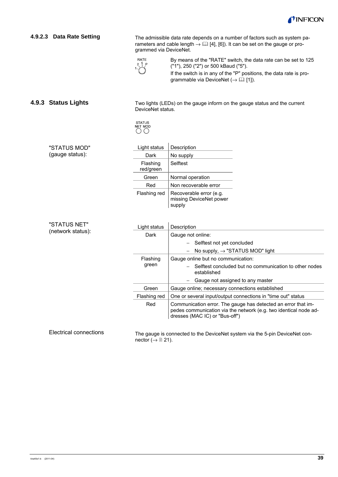

| 4.9.2.3 Data Rate Setting     | The admissible data rate depends on a number of factors such as system pa-<br>rameters and cable length $\rightarrow$ [4] [4], [6]). It can be set on the gauge or pro-<br>grammed via DeviceNet. |                                                                                                                                                                     |  |  |  |
|-------------------------------|---------------------------------------------------------------------------------------------------------------------------------------------------------------------------------------------------|---------------------------------------------------------------------------------------------------------------------------------------------------------------------|--|--|--|
|                               | RATE                                                                                                                                                                                              | By means of the "RATE" switch, the data rate can be set to 125<br>("1"), 250 ("2") or 500 kBaud ("5").                                                              |  |  |  |
|                               |                                                                                                                                                                                                   | If the switch is in any of the "P" positions, the data rate is pro-<br>grammable via DeviceNet ( $\rightarrow$ [1]).                                                |  |  |  |
| 4.9.3 Status Lights           | DeviceNet status.                                                                                                                                                                                 | Two lights (LEDs) on the gauge inform on the gauge status and the current                                                                                           |  |  |  |
|                               | <b>STATUS</b><br>NET MOD<br>$($ )                                                                                                                                                                 |                                                                                                                                                                     |  |  |  |
| "STATUS MOD"                  | Light status                                                                                                                                                                                      | Description                                                                                                                                                         |  |  |  |
| (gauge status):               | Dark                                                                                                                                                                                              | No supply                                                                                                                                                           |  |  |  |
|                               | Flashing<br>red/green                                                                                                                                                                             | Selftest                                                                                                                                                            |  |  |  |
|                               | Green                                                                                                                                                                                             | Normal operation                                                                                                                                                    |  |  |  |
|                               | Red                                                                                                                                                                                               | Non recoverable error                                                                                                                                               |  |  |  |
|                               | Flashing red                                                                                                                                                                                      | Recoverable error (e.g.<br>missing DeviceNet power<br>supply                                                                                                        |  |  |  |
| "STATUS NET"                  | Light status                                                                                                                                                                                      | Description                                                                                                                                                         |  |  |  |
| (network status):             | Dark                                                                                                                                                                                              | Gauge not online:                                                                                                                                                   |  |  |  |
|                               |                                                                                                                                                                                                   | Selftest not yet concluded                                                                                                                                          |  |  |  |
|                               |                                                                                                                                                                                                   | No supply, $\rightarrow$ "STATUS MOD" light                                                                                                                         |  |  |  |
|                               | Flashing                                                                                                                                                                                          | Gauge online but no communication:                                                                                                                                  |  |  |  |
|                               | green                                                                                                                                                                                             | Selftest concluded but no communication to other nodes<br>established                                                                                               |  |  |  |
|                               |                                                                                                                                                                                                   | Gauge not assigned to any master                                                                                                                                    |  |  |  |
|                               | Green                                                                                                                                                                                             | Gauge online; necessary connections established                                                                                                                     |  |  |  |
|                               | Flashing red                                                                                                                                                                                      | One or several input/output connections in "time out" status                                                                                                        |  |  |  |
|                               | Red                                                                                                                                                                                               | Communication error. The gauge has detected an error that im-<br>pedes communication via the network (e.g. two identical node ad-<br>dresses (MAC IC) or "Bus-off") |  |  |  |
| <b>Electrical connections</b> | nector ( $\rightarrow \mathbb{B}$ 21).                                                                                                                                                            | The gauge is connected to the DeviceNet system via the 5-pin DeviceNet con-                                                                                         |  |  |  |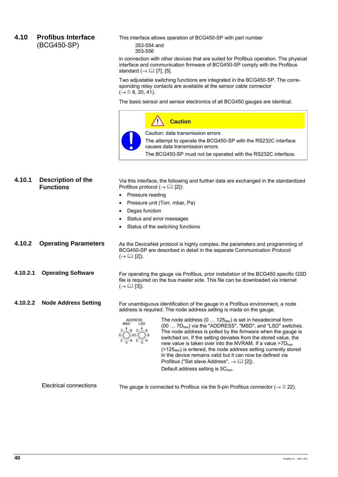#### **4.10 Profibus Interface**  (BCG450-SP)

This interface allows operation of BCG450-SP with part number

353-554 and 353-556

in connection with other devices that are suited for Profibus operation. The physical interface and communication firmware of BCG450-SP comply with the Profibus standard  $(\rightarrow \Box \Box$  [7], [5].

Two adjustable switching functions are integrated in the BCG450-SP. The corresponding relay contacts are available at the sensor cable connector  $( \rightarrow \Box 8, 20, 41).$ 

The basic sensor and sensor electronics of all BCG450 gauges are identical.



| 4.10.1   | <b>Description of the</b><br><b>Functions</b> | Via this interface, the following and further data are exchanged in the standardized<br>Profibus protocol ( $\rightarrow$ [2] [2]):<br>Pressure reading<br>Pressure unit (Torr, mbar, Pa)<br>Degas function<br>$\bullet$<br>Status and error messages<br>Status of the switching functions                                                                                                                                                                                                                                                                                                                                                                                                                                                                                                                                             |  |  |  |  |
|----------|-----------------------------------------------|----------------------------------------------------------------------------------------------------------------------------------------------------------------------------------------------------------------------------------------------------------------------------------------------------------------------------------------------------------------------------------------------------------------------------------------------------------------------------------------------------------------------------------------------------------------------------------------------------------------------------------------------------------------------------------------------------------------------------------------------------------------------------------------------------------------------------------------|--|--|--|--|
| 4.10.2   | <b>Operating Parameters</b>                   | As the DeviceNet protocol is highly complex, the parameters and programming of<br>BCG450-SP are described in detail in the separate Communication Protocol<br>$(\rightarrow \Box \Box$ [2]).                                                                                                                                                                                                                                                                                                                                                                                                                                                                                                                                                                                                                                           |  |  |  |  |
| 4.10.2.1 | <b>Operating Software</b>                     | For operating the gauge via Profibus, prior installation of the BCG450 specific GSD<br>file is required on the bus master side. This file can be downloaded via internet<br>$(\rightarrow \Box \Box$ [3]).                                                                                                                                                                                                                                                                                                                                                                                                                                                                                                                                                                                                                             |  |  |  |  |
| 4.10.2.2 | <b>Node Address Setting</b>                   | For unambiguous identification of the gauge in a Profibus environment, a node<br>address is required. The node address setting is made on the gauge.<br>The node address $(0 \dots 125_{\text{dec}})$ is set in hexadecimal form<br><b>ADDRESS</b><br><b>MSD</b><br>LSD<br>(00  7D <sub>hex</sub> ) via the "ADDRESS", "MSD", and "LSD" switches.<br>$2\sqrt{1/6}$ $2\sqrt{1/6}$<br>The node address is polled by the firmware when the gauge is<br>switched on. If the setting deviates from the stored value, the<br>new value is taken over into the NVRAM. If a value $>7D_{hex}$<br>$($ >125 <sub>dec</sub> ) is entered, the node address setting currently stored<br>in the device remains valid but it can now be defined via<br>Profibus ("Set slave Address", $\rightarrow$ [2]).<br>Default address setting is $5C_{hex}$ . |  |  |  |  |

Electrical connections

The gauge is connected to Profibus via the 9-pin Profibus connector  $(\rightarrow \Box 22)$ .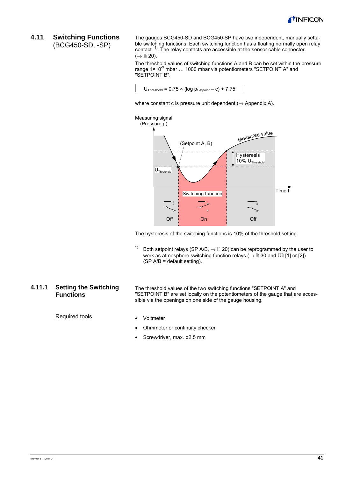

#### **4.11 Switching Functions**  (BCG450-SD, -SP)

The gauges BCG450-SD and BCG450-SP have two independent, manually settable switching functions. Each switching function has a floating normally open relay contact<sup>1)</sup>. The relay contacts are accessible at the sensor cable connector  $(\rightarrow \Box$  20).

The threshold values of switching functions A and B can be set within the pressure range  $1 \times 10^{-9}$  mbar  $\ldots$  1000 mbar via potentiometers "SETPOINT A" and "SETPOINT B".



where constant c is pressure unit dependent  $(\rightarrow$  Appendix A).



The hysteresis of the switching functions is 10% of the threshold setting.

<sup>1)</sup> Both setpoint relays (SP A/B,  $\rightarrow \mathbb{R}$  20) can be reprogrammed by the user to work as atmosphere switching function relays ( $\rightarrow \mathbb{B}$  30 and  $\mathbb{Q}$  [1] or [2]) (SP A/B = default setting).

#### **4.11.1 Setting the Switching Functions**

The threshold values of the two switching functions "SETPOINT A" and "SETPOINT B" are set locally on the potentiometers of the gauge that are accessible via the openings on one side of the gauge housing.

Required tools

- Voltmeter
- Ohmmeter or continuity checker
- Screwdriver, max. ø2.5 mm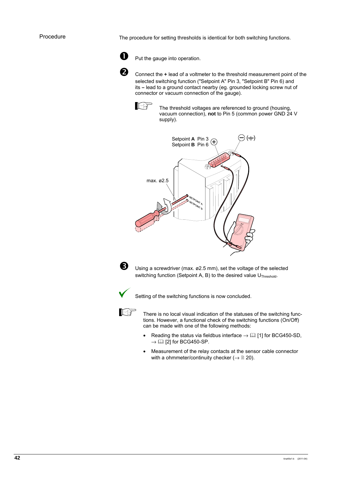The procedure for setting thresholds is identical for both switching functions.



**D** Put the gauge into operation.

**2** Connect the + lead of a voltmeter to the threshold measurement point of the selected switching function ("Setpoint A" Pin 3, "Setpoint B" Pin 6) and its **–** lead to a ground contact nearby (eg. grounded locking screw nut of connector or vacuum connection of the gauge).



The threshold voltages are referenced to ground (housing, vacuum connection), **not** to Pin 5 (common power GND 24 V supply).





**B** Using a screwdriver (max. ø2.5 mm), set the voltage of the selected switching function (Setpoint A, B) to the desired value U<sub>Threshold</sub>.



Setting of the switching functions is now concluded.



 There is no local visual indication of the statuses of the switching functions. However, a functional check of the switching functions (On/Off) can be made with one of the following methods:

- Reading the status via fieldbus interface  $\rightarrow$  [1] for BCG450-SD,  $\rightarrow$  [2] for BCG450-SP.
- Measurement of the relay contacts at the sensor cable connector with a ohmmeter/continuity checker ( $\rightarrow \mathbb{B}$  20).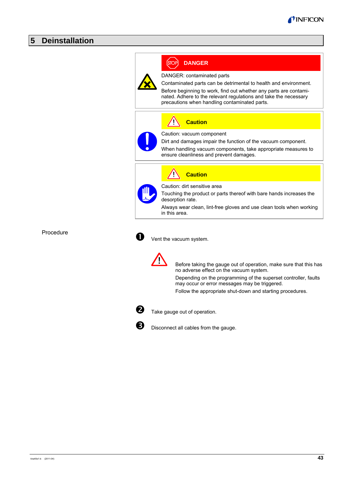### **5 Deinstallation**



Procedure

Vent the vacuum system.



 Before taking the gauge out of operation, make sure that this has no adverse effect on the vacuum system.

Depending on the programming of the superset controller, faults may occur or error messages may be triggered.

Follow the appropriate shut-down and starting procedures.



 $\overline{2}$  Take gauge out of operation.



Disconnect all cables from the gauge.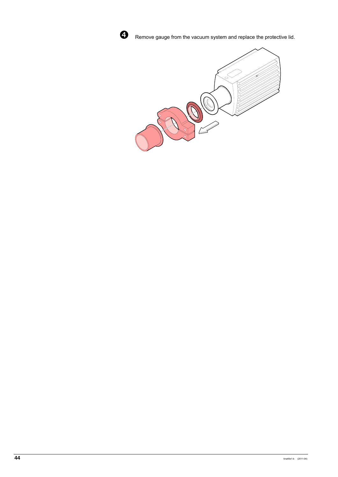

**Q** Remove gauge from the vacuum system and replace the protective lid.

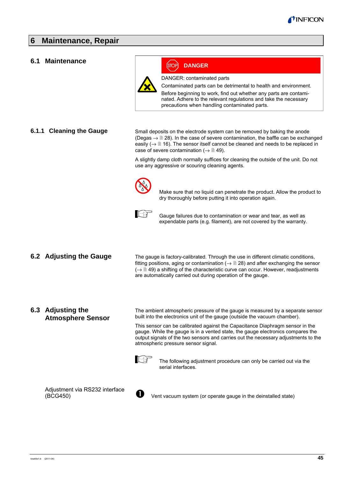#### **6 Maintenance, Repair**

#### **6.1 Maintenance**



**DANGER**

DANGER: contaminated parts

Contaminated parts can be detrimental to health and environment.

Before beginning to work, find out whether any parts are contaminated. Adhere to the relevant regulations and take the necessary precautions when handling contaminated parts.

#### **6.1.1 Cleaning the Gauge**

Small deposits on the electrode system can be removed by baking the anode (Degas  $\rightarrow \mathbb{R}$  28). In the case of severe contamination, the baffle can be exchanged easily ( $\rightarrow \mathbb{B}$  16). The sensor itself cannot be cleaned and needs to be replaced in case of severe contamination ( $\rightarrow \mathbb{B}$  49).

A slightly damp cloth normally suffices for cleaning the outside of the unit. Do not use any aggressive or scouring cleaning agents.



 Make sure that no liquid can penetrate the product. Allow the product to dry thoroughly before putting it into operation again.



 Gauge failures due to contamination or wear and tear, as well as expendable parts (e.g. filament), are not covered by the warranty.

#### **6.2 Adjusting the Gauge**

The gauge is factory-calibrated. Through the use in different climatic conditions, fitting positions, aging or contamination ( $\rightarrow \mathbb{B}$  28) and after exchanging the sensor  $(\rightarrow \mathbb{B}$  49) a shifting of the characteristic curve can occur. However, readjustments are automatically carried out during operation of the gauge.

#### **6.3 Adjusting the Atmosphere Sensor**

The ambient atmospheric pressure of the gauge is measured by a separate sensor built into the electronics unit of the gauge (outside the vacuum chamber).

This sensor can be calibrated against the Capacitance Diaphragm sensor in the gauge. While the gauge is in a vented state, the gauge electronics compares the output signals of the two sensors and carries out the necessary adjustments to the atmospheric pressure sensor signal.



 The following adjustment procedure can only be carried out via the serial interfaces.



Vent vacuum system (or operate gauge in the deinstalled state)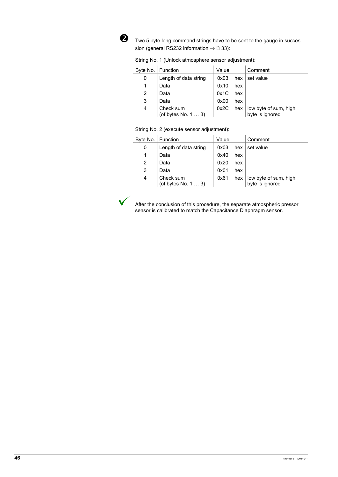

o Two 5 byte long command strings have to be sent to the gauge in succession (general RS232 information  $\rightarrow \mathbb{B}$  33):

|  |  |  |  | String No. 1 (Unlock atmosphere sensor adjustment): |
|--|--|--|--|-----------------------------------------------------|
|--|--|--|--|-----------------------------------------------------|

|   | Byte No.   Function              | Value |     | Comment                                              |
|---|----------------------------------|-------|-----|------------------------------------------------------|
| 0 | Length of data string            | 0x03  | hex | set value                                            |
|   | Data                             | 0x10  | hex |                                                      |
| 2 | Data                             | 0x1C  | hex |                                                      |
| 3 | Data                             | 0x00  | hex |                                                      |
| 4 | Check sum<br>(of bytes No. 1  3) | 0x2C  |     | hex $\vert$ low byte of sum, high<br>byte is ignored |

String No. 2 (execute sensor adjustment):

|   | Byte No.   Function              | Value |     | Comment                                  |
|---|----------------------------------|-------|-----|------------------------------------------|
| 0 | Length of data string            | 0x03  | hex | set value                                |
|   | Data                             | 0x40  | hex |                                          |
| 2 | Data                             | 0x20  | hex |                                          |
| 3 | Data                             | 0x01  | hex |                                          |
| 4 | Check sum<br>(of bytes No. 1  3) | 0x61  | hex | low byte of sum, high<br>byte is ignored |



 After the conclusion of this procedure, the separate atmospheric pressor sensor is calibrated to match the Capacitance Diaphragm sensor.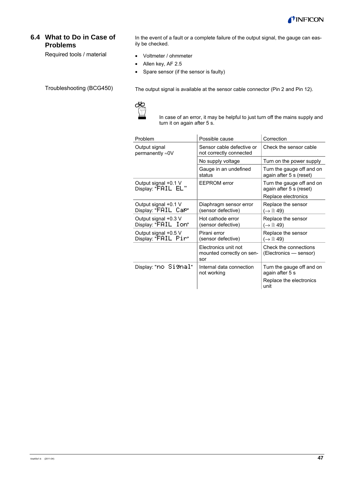

### **6.4 What to Do in Case of Problems**

Required tools / material

In the event of a fault or a complete failure of the output signal, the gauge can easily be checked.

- Voltmeter / ohmmeter
- Allen key, AF 2.5
- Spare sensor (if the sensor is faulty)

Troubleshooting (BCG450)

The output signal is available at the sensor cable connector (Pin 2 and Pin 12).



In case of an error, it may be helpful to just turn off the mains supply and turn it on again after 5 s.

| Problem                                     | Possible cause                                           | Correction                                           |  |  |
|---------------------------------------------|----------------------------------------------------------|------------------------------------------------------|--|--|
| Output signal<br>permanently $\approx$ 0V   | Sensor cable defective or<br>not correctly connected     | Check the sensor cable                               |  |  |
|                                             | No supply voltage                                        | Turn on the power supply                             |  |  |
|                                             | Gauge in an undefined<br>status                          | Turn the gauge off and on<br>again after 5 s (reset) |  |  |
| Output signal +0.1 V<br>Display: "FAIL EL"  | <b>EEPROM</b> error                                      | Turn the gauge off and on<br>again after 5 s (reset) |  |  |
|                                             |                                                          | Replace electronics                                  |  |  |
| Output signal +0.1 V<br>Display: "FAIL Cal" | Diaphragm sensor error<br>(sensor defective)             | Replace the sensor<br>$(\rightarrow \Box 49)$        |  |  |
| Output signal +0.3 V<br>Display: "FAIL Ion" | Hot cathode error<br>(sensor defective)                  | Replace the sensor<br>$(\rightarrow \mathbb{B} 49)$  |  |  |
| Output signal +0.5 V<br>Display: "FAIL Pir" | Pirani error<br>(sensor defective)                       | Replace the sensor<br>(→  19)                        |  |  |
|                                             | Electronics unit not<br>mounted correctly on sen-<br>sor | Check the connections<br>(Electronics - sensor)      |  |  |
| Display: "no Signal"                        | Internal data connection<br>not working                  | Turn the gauge off and on<br>again after 5 s         |  |  |
|                                             |                                                          | Replace the electronics<br>unit                      |  |  |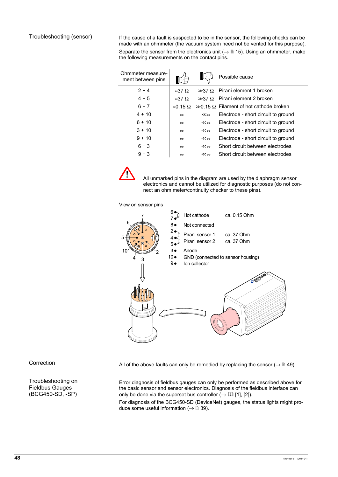If the cause of a fault is suspected to be in the sensor, the following checks can be made with an ohmmeter (the vacuum system need not be vented for this purpose).

Separate the sensor from the electronics unit ( $\rightarrow \Box$  15). Using an ohmmeter, make the following measurements on the contact pins.

| Ohmmeter measure-<br>ment between pins |                       |                 | Possible cause                                   |
|----------------------------------------|-----------------------|-----------------|--------------------------------------------------|
| $2 + 4$                                | $\approx 37 \Omega$   | $\gg 37 \Omega$ | Pirani element 1 broken                          |
| $4 + 5$                                | $\approx 37 \Omega$   | $\gg 37 \Omega$ | Pirani element 2 broken                          |
| $6 + 7$                                | $\approx 0.15 \Omega$ |                 | $\gg 0.15 \Omega$ Filament of hot cathode broken |
| $4 + 10$                               | $\infty$              | ≪∞              | Electrode - short circuit to ground              |
| $6 + 10$                               | $\infty$              | ≪∞              | Electrode - short circuit to ground              |
| $3 + 10$                               | $\infty$              | ≪∞              | Electrode - short circuit to ground              |
| $9 + 10$                               | $\infty$              | ≪∞              | Electrode - short circuit to ground              |
| $6 + 3$                                | $\infty$              | ≪∞              | Short circuit between electrodes                 |
| $9 + 3$                                | $\infty$              | ≪∞              | Short circuit between electrodes                 |



 All unmarked pins in the diagram are used by the diaphragm sensor electronics and cannot be utilized for diagnostic purposes (do not connect an ohm meter/continuity checker to these pins).

View on sensor pins



Correction

Troubleshooting on Fieldbus Gauges (BCG450-SD, -SP)

All of the above faults can only be remedied by replacing the sensor ( $\rightarrow \mathbb{B}$  49).

Error diagnosis of fieldbus gauges can only be performed as described above for the basic sensor and sensor electronics. Diagnosis of the fieldbus interface can only be done via the superset bus controller  $\mapsto$  [1], [2]).

For diagnosis of the BCG450-SD (DeviceNet) gauges, the status lights might produce some useful information ( $\rightarrow \mathbb{B}$  39).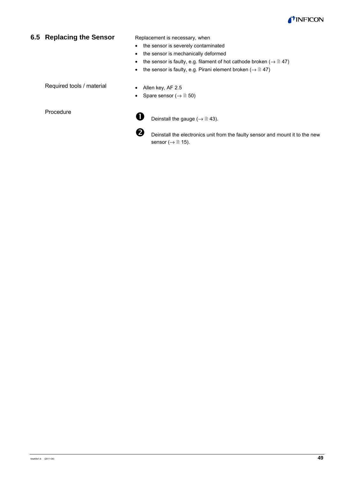

#### **6.5 Replacing the Sensor**

Replacement is necessary, when

- the sensor is severely contaminated
- the sensor is mechanically deformed
- the sensor is faulty, e.g. filament of hot cathode broken  $(\rightarrow \mathbb{B} 47)$
- the sensor is faulty, e.g. Pirani element broken  $(\rightarrow \mathbb{B} 47)$

Required tools / material

Procedure

- Allen key, AF 2.5
- Spare sensor  $(\rightarrow \Box 50)$

**D** Deinstall the gauge ( $\rightarrow \mathbb{B}$  43).

**O** Deinstall the electronics unit from the faulty sensor and mount it to the new sensor ( $\rightarrow \mathbb{B}$  15).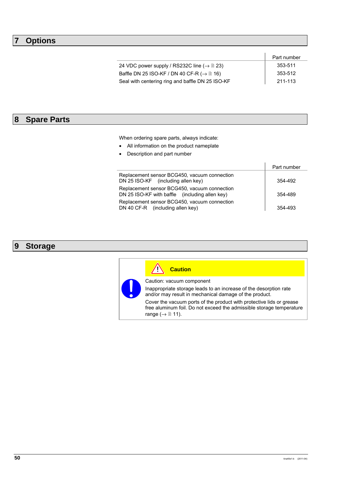## **7 Options**

|                                                                  | Part number |
|------------------------------------------------------------------|-------------|
| 24 VDC power supply / RS232C line ( $\rightarrow \mathbb{B}$ 23) | 353-511     |
| Baffle DN 25 ISO-KF / DN 40 CF-R ( $\rightarrow \mathbb{B}$ 16)  | 353-512     |
| Seal with centering ring and baffle DN 25 ISO-KF                 | 211-113     |

# **8 Spare Parts**

When ordering spare parts, always indicate:

- All information on the product nameplate
- Description and part number

|                                                                                                | Part number |
|------------------------------------------------------------------------------------------------|-------------|
| Replacement sensor BCG450, vacuum connection<br>DN 25 ISO-KF (including allen key)             | 354-492     |
| Replacement sensor BCG450, vacuum connection<br>DN 25 ISO-KF with baffle (including allen key) | 354-489     |
| Replacement sensor BCG450, vacuum connection<br>DN 40 CF-R (including allen key)               | 354-493     |

# **9 Storage**

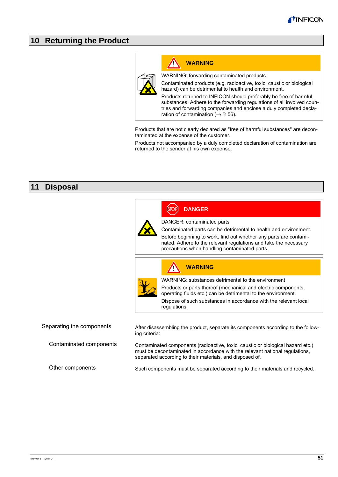### **10 Returning the Product**



# **WARNING**

WARNING: forwarding contaminated products

Contaminated products (e.g. radioactive, toxic, caustic or biological hazard) can be detrimental to health and environment.

Products returned to INFICON should preferably be free of harmful substances. Adhere to the forwarding regulations of all involved countries and forwarding companies and enclose a duly completed declaration of contamination ( $\rightarrow \mathbb{B}$  56).

Products that are not clearly declared as "free of harmful substances" are decontaminated at the expense of the customer.

Products not accompanied by a duly completed declaration of contamination are returned to the sender at his own expense.

### **11 Disposal**

|                           |                                                                                                                                                                                                                             | <b>DANGER</b>                                                                                                                                                                                                                                              |  |  |
|---------------------------|-----------------------------------------------------------------------------------------------------------------------------------------------------------------------------------------------------------------------------|------------------------------------------------------------------------------------------------------------------------------------------------------------------------------------------------------------------------------------------------------------|--|--|
|                           |                                                                                                                                                                                                                             | DANGER: contaminated parts                                                                                                                                                                                                                                 |  |  |
|                           |                                                                                                                                                                                                                             | Contaminated parts can be detrimental to health and environment.<br>Before beginning to work, find out whether any parts are contami-<br>nated. Adhere to the relevant regulations and take the necessary<br>precautions when handling contaminated parts. |  |  |
|                           |                                                                                                                                                                                                                             | <b>WARNING</b>                                                                                                                                                                                                                                             |  |  |
|                           |                                                                                                                                                                                                                             | WARNING: substances detrimental to the environment                                                                                                                                                                                                         |  |  |
|                           |                                                                                                                                                                                                                             | Products or parts thereof (mechanical and electric components,<br>operating fluids etc.) can be detrimental to the environment.                                                                                                                            |  |  |
|                           |                                                                                                                                                                                                                             | Dispose of such substances in accordance with the relevant local<br>regulations.                                                                                                                                                                           |  |  |
|                           |                                                                                                                                                                                                                             |                                                                                                                                                                                                                                                            |  |  |
| Separating the components | ing criteria:                                                                                                                                                                                                               | After disassembling the product, separate its components according to the follow-                                                                                                                                                                          |  |  |
| Contaminated components   | Contaminated components (radioactive, toxic, caustic or biological hazard etc.)<br>must be decontaminated in accordance with the relevant national regulations,<br>separated according to their materials, and disposed of. |                                                                                                                                                                                                                                                            |  |  |
| Other components          | Such components must be separated according to their materials and recycled.                                                                                                                                                |                                                                                                                                                                                                                                                            |  |  |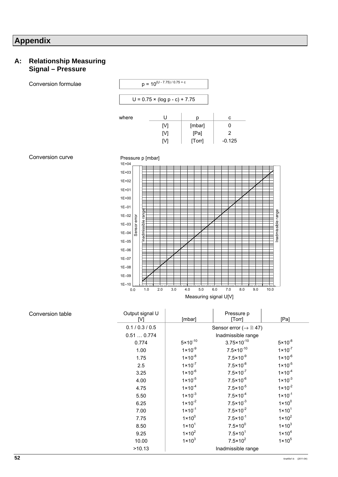# **Appendix**

#### **A: Relationship Measuring Signal – Pressure**

| Conversion formulae |                        | $p = 10^{(U - 7.75)/0.75 + c}$       |                    |                  |                     |                |                                             |                            |                        |     |             |                    |                    |
|---------------------|------------------------|--------------------------------------|--------------------|------------------|---------------------|----------------|---------------------------------------------|----------------------------|------------------------|-----|-------------|--------------------|--------------------|
|                     |                        | $U = 0.75 \times (log p - c) + 7.75$ |                    |                  |                     |                |                                             |                            |                        |     |             |                    |                    |
|                     | where                  |                                      |                    | $\sf U$          |                     | p              |                                             | $\mathtt{C}$               |                        |     |             |                    |                    |
|                     |                        |                                      | $[{\sf V}]$        |                  |                     | [mbar]         |                                             | $\pmb{0}$                  |                        |     |             |                    |                    |
|                     |                        |                                      | [V]                | $[{\mathsf{V}}]$ |                     | [Pa]<br>[Torr] |                                             | $\overline{2}$<br>$-0.125$ |                        |     |             |                    |                    |
| Conversion curve    | $1E + 04$              |                                      | Pressure p [mbar]  |                  |                     |                |                                             |                            |                        |     |             |                    |                    |
|                     | $1E + 03$              |                                      |                    |                  |                     |                |                                             |                            |                        |     |             |                    |                    |
|                     | $1E + 02$              |                                      |                    |                  |                     |                |                                             |                            |                        |     |             |                    |                    |
|                     | $1E + 01$              |                                      |                    |                  |                     |                |                                             |                            |                        |     |             |                    |                    |
|                     | $1E + 00$              |                                      |                    |                  |                     |                |                                             |                            |                        |     |             |                    |                    |
|                     | $1E-01$                |                                      |                    |                  |                     |                |                                             |                            |                        |     |             |                    |                    |
|                     | $1E - 02$              |                                      | Inadmissible range |                  |                     |                |                                             |                            |                        |     |             | Inadmissible range |                    |
|                     | $1E - 03$              | Sensor error                         |                    |                  |                     |                |                                             |                            |                        |     |             |                    |                    |
|                     | $1E - 04$              |                                      |                    |                  |                     |                |                                             |                            |                        |     |             |                    |                    |
|                     | $1E - 05$              |                                      |                    |                  |                     |                |                                             |                            |                        |     |             |                    |                    |
|                     | $1E-06$                |                                      |                    |                  |                     |                |                                             |                            |                        |     |             |                    |                    |
|                     | $1E - 07$              |                                      |                    |                  |                     |                |                                             |                            |                        |     |             |                    |                    |
|                     | $1E - 08$              |                                      |                    |                  |                     |                |                                             |                            |                        |     |             |                    |                    |
|                     | $1E-09$                |                                      |                    |                  |                     |                |                                             |                            |                        |     |             |                    |                    |
|                     | $1E - 10$<br>0.0       |                                      | 1.0<br>2.0         | لسيلس<br>3.0     | 4.0                 | 5.0            |                                             | عنسا سيناسخ<br>7.0<br>6.0  | حبليب                  | 8.0 | 9.0<br>10.0 |                    |                    |
|                     |                        |                                      |                    |                  |                     |                |                                             | Measuring signal U[V]      |                        |     |             |                    |                    |
| Conversion table    | Output signal U<br>[V] |                                      |                    | [mbar]           |                     |                | Pressure p<br>[Torr]                        |                            |                        |     |             | [Pa]               |                    |
|                     |                        |                                      | 0.1 / 0.3 / 0.5    |                  |                     |                | Sensor error ( $\rightarrow \mathbb{B}$ 47) |                            |                        |     |             |                    |                    |
|                     |                        |                                      | 0.510.774          |                  |                     |                |                                             | Inadmissible range         |                        |     |             |                    |                    |
|                     |                        |                                      | 0.774              |                  | $5 \times 10^{-10}$ |                |                                             |                            | $3.75 \times 10^{-10}$ |     |             |                    | $5 \times 10^{-8}$ |
|                     |                        | 1.00                                 |                    |                  | $1 \times 10^{-9}$  |                |                                             |                            | $7.5 \times 10^{-10}$  |     |             |                    | $1 \times 10^{-7}$ |

1.75 1×10<sup>-8</sup> 7.5×10<sup>-9</sup> 1×10<sup>-6</sup> 2.5  $1 \times 10^{-7}$  7.5 $\times 10^{-8}$  1 $\times 10^{-5}$ 

3.25  $1 \times 10^{-6}$   $7.5 \times 10^{-7}$   $1 \times 10^{-4}$ <br>4.00  $1 \times 10^{-5}$   $7.5 \times 10^{-6}$   $1 \times 10^{-3}$ 

4.75  $1 \times 10^{-4}$  7.5 $\times 10^{-5}$  1 $\times 10^{-2}$ 5.50  $1 \times 10^{-3}$  7.5 $\times 10^{-4}$  1×10<sup>-1</sup> 6.25  $1 \times 10^{-2}$  7.5 $\times 10^{-3}$  1×10<sup>0</sup> 7.00  $1 \times 10^{-1}$  7.5 $\times 10^{-2}$  1×10<sup>1</sup>

4.00  $1 \times 10^{-5}$  7.5 $\times 10^{-6}$ <br>4.75  $1 \times 10^{-4}$  7.5 $\times 10^{-5}$ 

>10.13 Inadmissible range

7.75  $1 \times 10^{0}$ 

8.50  $1 \times 10^{1}$ 

9.25  $1 \times 10^2$ 

10.00  $1 \times 10^3$ 

 $1 \times 10^3$ 

 $1 \times 10^4$ 

 $1 \times 10^5$ 

 $7.5 \times 10^{-1}$  1×10<sup>2</sup>

 $7.5 \times 10^{0}$ 

7.5×101

 $7.5 \times 10^2$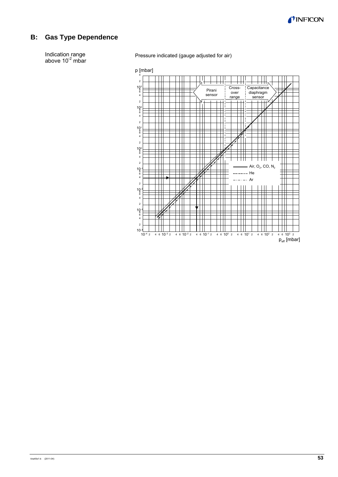

### **B: Gas Type Dependence**

Indication range above  $10^{-2}$  mbar Pressure indicated (gauge adjusted for air)

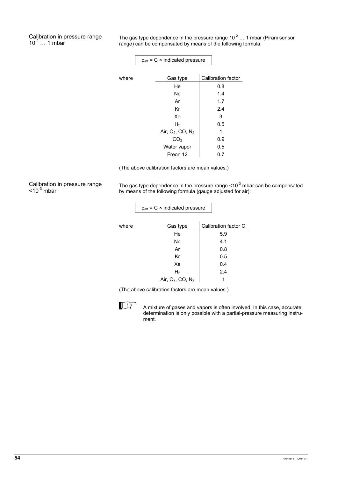Calibration in pressure range  $10^{-2}$  ... 1 mbar

The gas type dependence in the pressure range  $10^{-2}$  ... 1 mbar (Pirani sensor range) can be compensated by means of the following formula:

|       | $p_{\text{eff}}$ = C $\times$ indicated pressure |  |                           |
|-------|--------------------------------------------------|--|---------------------------|
|       |                                                  |  |                           |
| where | Gas type                                         |  | <b>Calibration factor</b> |
|       | He                                               |  | 0.8                       |
|       | Ne                                               |  | 1.4                       |
|       | Ar                                               |  | 1.7                       |
|       | Кr                                               |  | 2.4                       |
|       | Xe                                               |  | 3                         |
|       | H <sub>2</sub>                                   |  | 0.5                       |
|       | Air, $O_2$ , $CO$ , $N_2$                        |  | 1                         |
|       | CO <sub>2</sub>                                  |  | 0.9                       |
|       | Water vapor                                      |  | 0.5                       |
|       | Freon 12                                         |  | 0.7                       |

(The above calibration factors are mean values.)

Calibration in pressure range  $\leq 10^{-3}$  mbar

The gas type dependence in the pressure range  $\leq 10^{-3}$  mbar can be compensated by means of the following formula (gauge adjusted for air):

 $\overline{\phantom{0}}$ 

|       | $p_{\text{eff}}$ = C $\times$ indicated pressure |                      |
|-------|--------------------------------------------------|----------------------|
|       |                                                  |                      |
| where | Gas type                                         | Calibration factor C |
|       | He                                               | 5.9                  |
|       | Ne                                               | 4.1                  |
|       | Ar                                               | 0.8                  |
|       | Кr                                               | 0.5                  |
|       | Xe                                               | 0.4                  |
|       | H <sub>2</sub>                                   | 2.4                  |
|       | Air, $O_2$ , CO, $N_2$                           |                      |

(The above calibration factors are mean values.)



 A mixture of gases and vapors is often involved. In this case, accurate determination is only possible with a partial-pressure measuring instrument.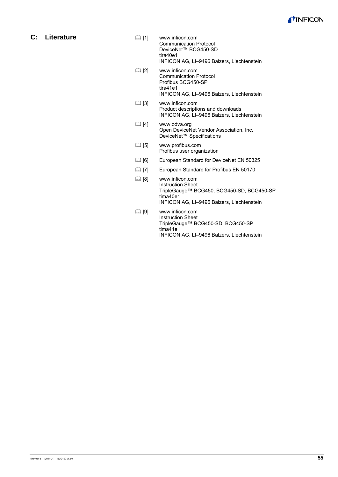

**C: Literature** 

- [1] www.inficon.com Communication Protocol DeviceNet™ BCG450-SD tira40e1 INFICON AG, LI–9496 Balzers, Liechtenstein
- [2] www.inficon.com Communication Protocol Profibus BCG450-SP tira41e1 INFICON AG, LI–9496 Balzers, Liechtenstein
- [3] www.inficon.com Product descriptions and downloads INFICON AG, LI–9496 Balzers, Liechtenstein
- [4] www.odva.org Open DeviceNet Vendor Association, Inc. DeviceNet™ Specifications
- [5] www.profibus.com Profibus user organization
- [16] European Standard for DeviceNet EN 50325
- [17] European Standard for Profibus EN 50170
- [8] www.inficon.com Instruction Sheet TripleGauge™ BCG450, BCG450-SD, BCG450-SP tima40e1 INFICON AG, LI–9496 Balzers, Liechtenstein
- [9] www.inficon.com Instruction Sheet TripleGauge™ BCG450-SD, BCG450-SP tima41e1 INFICON AG, LI–9496 Balzers, Liechtenstein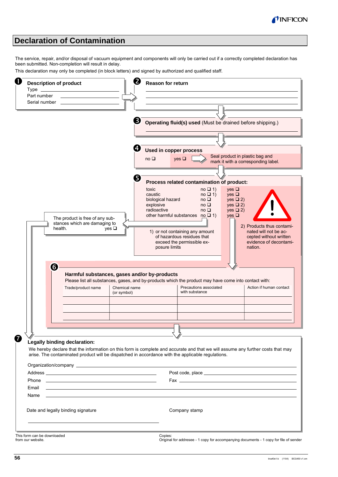

### **Declaration of Contamination**

The service, repair, and/or disposal of vacuum equipment and components will only be carried out if a correctly completed declaration has been submitted. Non-completion will result in delay.

This declaration may only be completed (in block letters) and signed by authorized and qualified staff.



from our website.

Original for addresee - 1 copy for accompanying documents - 1 copy for file of sender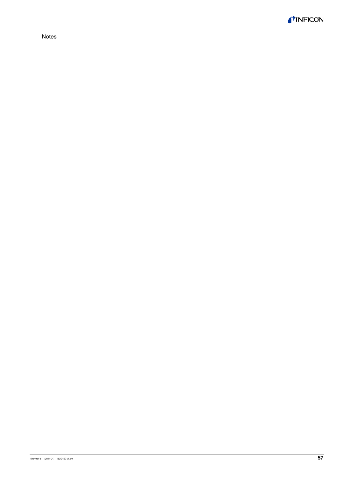

Notes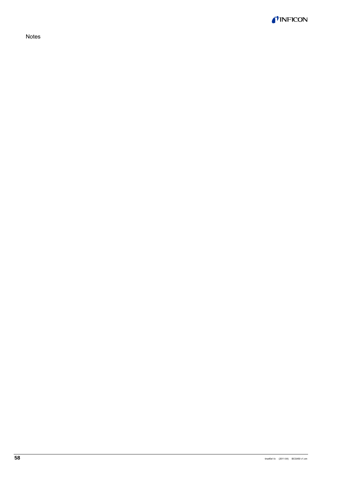TINFICON

Notes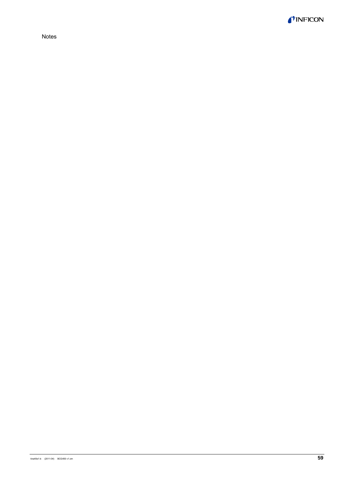

Notes